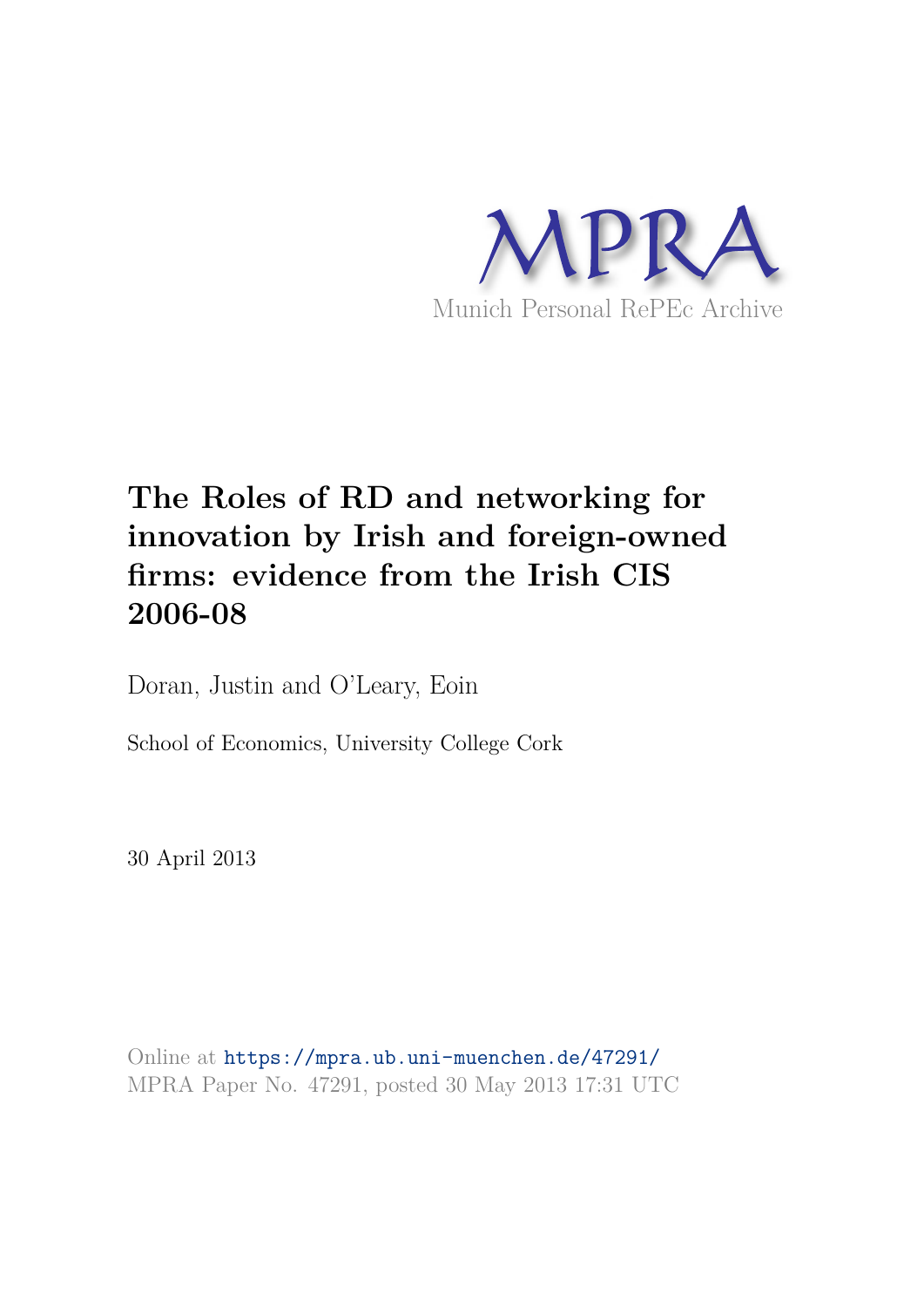

# **The Roles of RD and networking for innovation by Irish and foreign-owned firms: evidence from the Irish CIS 2006-08**

Doran, Justin and O'Leary, Eoin

School of Economics, University College Cork

30 April 2013

Online at https://mpra.ub.uni-muenchen.de/47291/ MPRA Paper No. 47291, posted 30 May 2013 17:31 UTC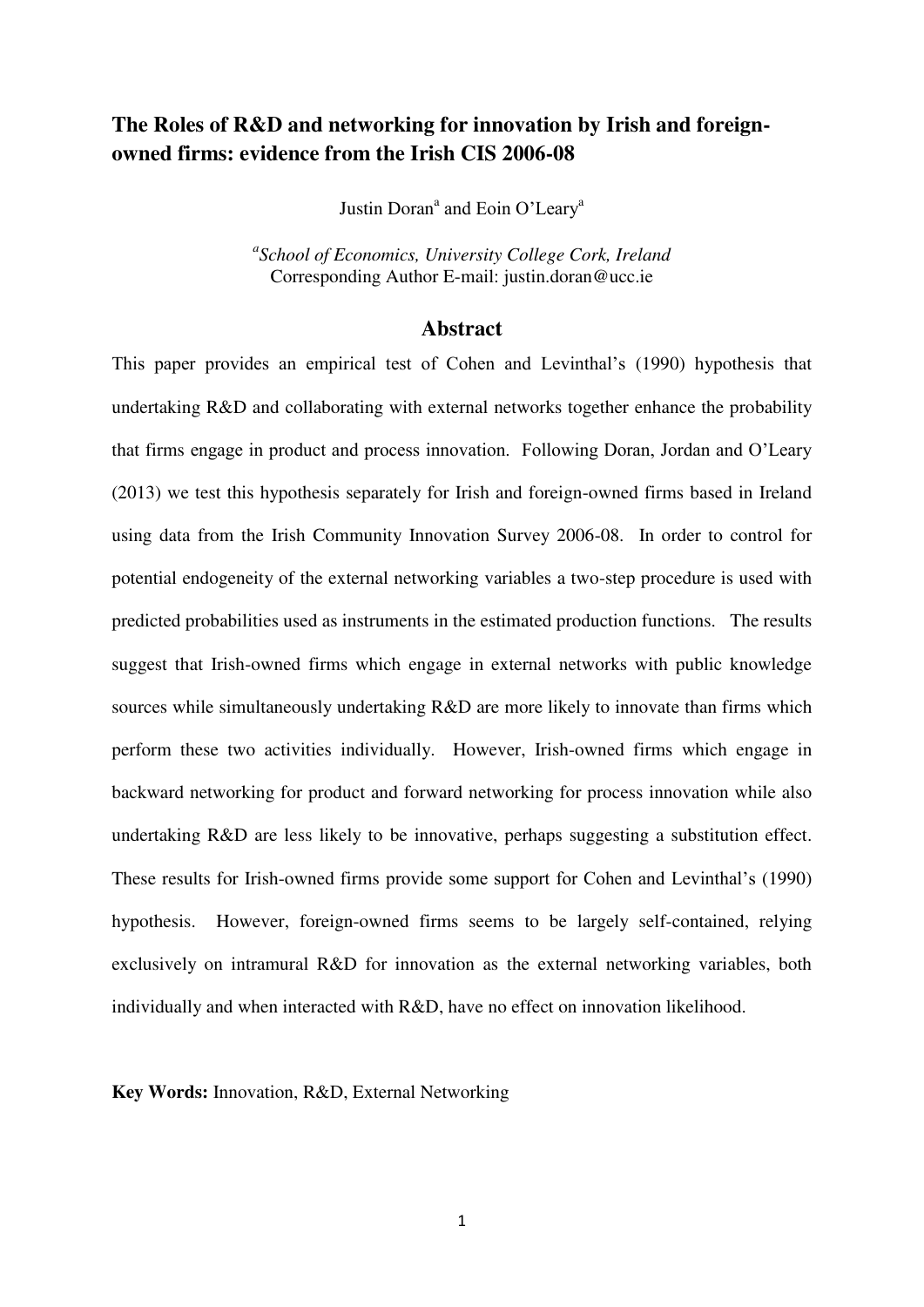## **The Roles of R&D and networking for innovation by Irish and foreignowned firms: evidence from the Irish CIS 2006-08**

Justin Doran<sup>a</sup> and Eoin O'Leary<sup>a</sup>

*a School of Economics, University College Cork, Ireland*  Corresponding Author E-mail: justin.doran@ucc.ie

#### **Abstract**

This paper provides an empirical test of Cohen and Levinthal's [\(1990\)](#page-25-0) hypothesis that undertaking R&D and collaborating with external networks together enhance the probability that firms engage in product and process innovation. Following Doran, Jordan and O'Leary [\(2013\)](#page-26-0) we test this hypothesis separately for Irish and foreign-owned firms based in Ireland using data from the Irish Community Innovation Survey 2006-08. In order to control for potential endogeneity of the external networking variables a two-step procedure is used with predicted probabilities used as instruments in the estimated production functions. The results suggest that Irish-owned firms which engage in external networks with public knowledge sources while simultaneously undertaking R&D are more likely to innovate than firms which perform these two activities individually. However, Irish-owned firms which engage in backward networking for product and forward networking for process innovation while also undertaking R&D are less likely to be innovative, perhaps suggesting a substitution effect. These results for Irish-owned firms provide some support for Cohen and Levinthal's [\(1990\)](#page-25-0) hypothesis. However, foreign-owned firms seems to be largely self-contained, relying exclusively on intramural R&D for innovation as the external networking variables, both individually and when interacted with R&D, have no effect on innovation likelihood.

**Key Words:** Innovation, R&D, External Networking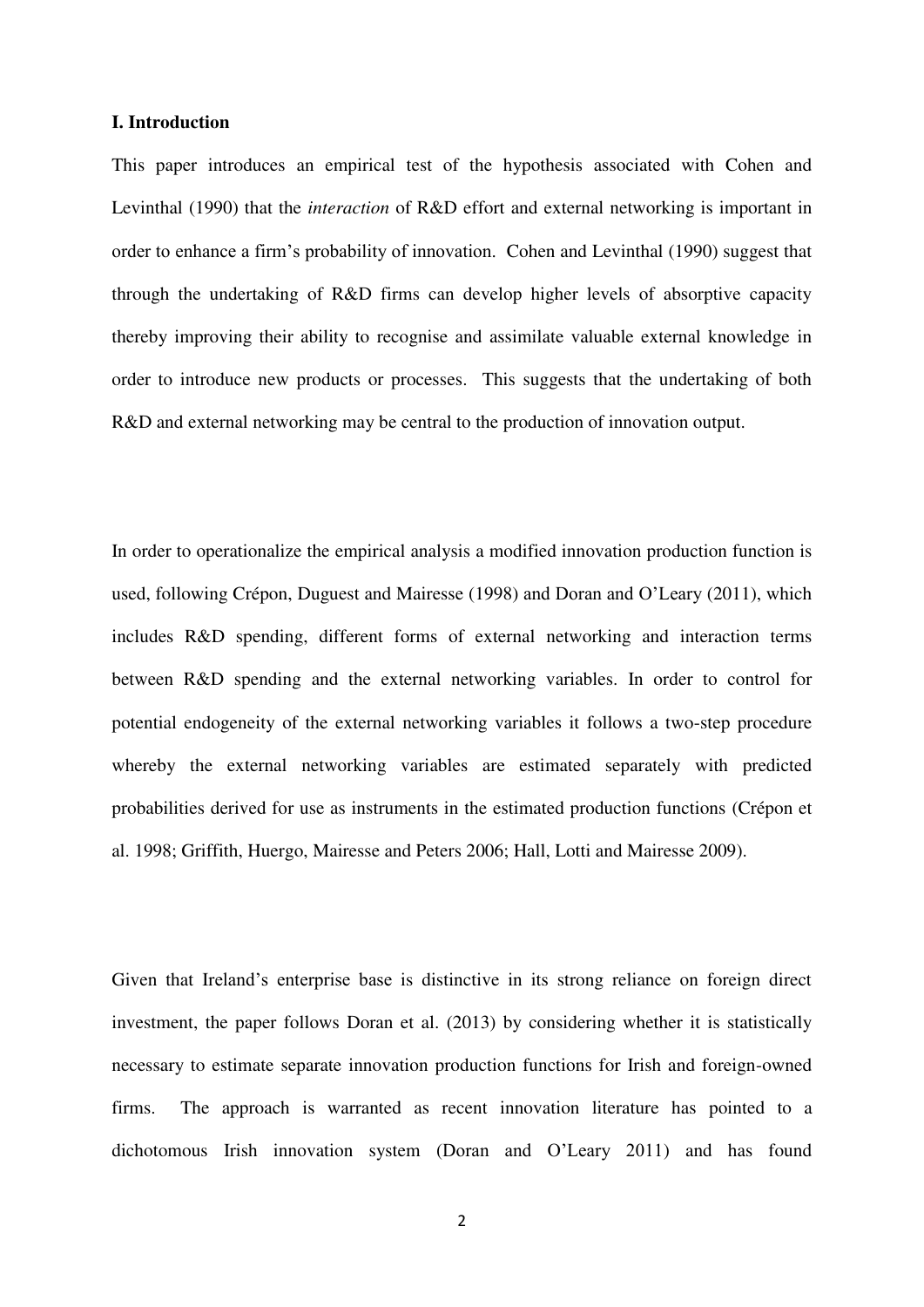#### **I. Introduction**

This paper introduces an empirical test of the hypothesis associated with Cohen and Levinthal [\(1990\)](#page-25-0) that the *interaction* of R&D effort and external networking is important in order to enhance a firm's probability of innovation. Cohen and Levinthal [\(1990\)](#page-25-0) suggest that through the undertaking of R&D firms can develop higher levels of absorptive capacity thereby improving their ability to recognise and assimilate valuable external knowledge in order to introduce new products or processes. This suggests that the undertaking of both R&D and external networking may be central to the production of innovation output.

In order to operationalize the empirical analysis a modified innovation production function is used, following Crépon, Duguest and Mairesse [\(1998\)](#page-25-1) and Doran and O'Leary [\(2011\)](#page-26-1), which includes R&D spending, different forms of external networking and interaction terms between R&D spending and the external networking variables. In order to control for potential endogeneity of the external networking variables it follows a two-step procedure whereby the external networking variables are estimated separately with predicted probabilities derived for use as instruments in the estimated production functions [\(Crépon et](#page-25-1)  [al. 1998;](#page-25-1) [Griffith, Huergo, Mairesse and Peters 2006;](#page-26-2) [Hall, Lotti and Mairesse 2009\)](#page-27-0).

Given that Ireland's enterprise base is distinctive in its strong reliance on foreign direct investment, the paper follows Doran et al. [\(2013\)](#page-26-0) by considering whether it is statistically necessary to estimate separate innovation production functions for Irish and foreign-owned firms. The approach is warranted as recent innovation literature has pointed to a dichotomous Irish innovation system ([Doran and O'Leary 2011](#page-26-1)) and has found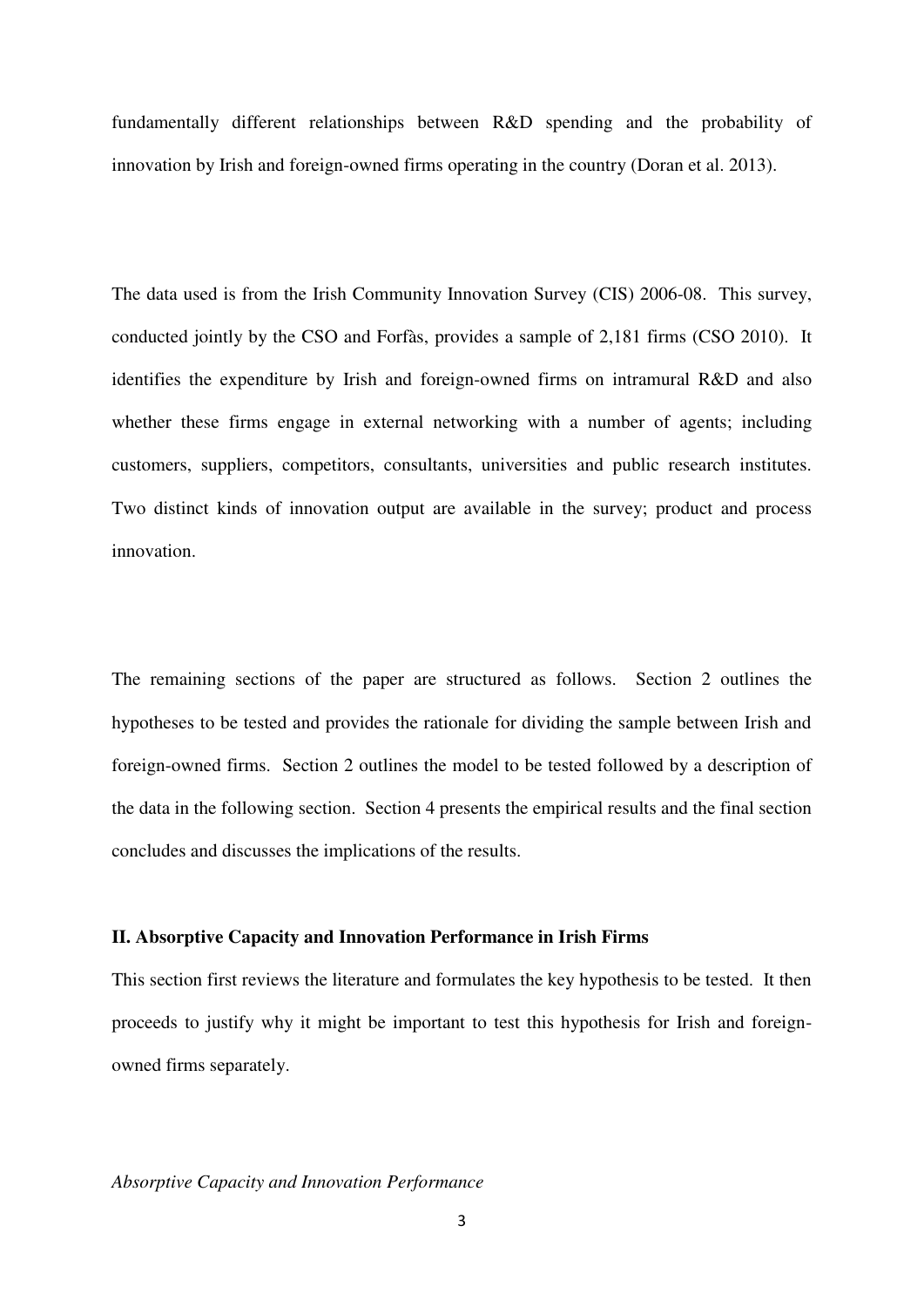fundamentally different relationships between R&D spending and the probability of innovation by Irish and foreign-owned firms operating in the country [\(Doran et al. 2013\)](#page-26-0).

The data used is from the Irish Community Innovation Survey (CIS) 2006-08. This survey, conducted jointly by the CSO and Forfàs, provides a sample of 2,181 firms [\(CSO 2010\)](#page-25-2). It identifies the expenditure by Irish and foreign-owned firms on intramural R&D and also whether these firms engage in external networking with a number of agents; including customers, suppliers, competitors, consultants, universities and public research institutes. Two distinct kinds of innovation output are available in the survey; product and process innovation.

The remaining sections of the paper are structured as follows. Section 2 outlines the hypotheses to be tested and provides the rationale for dividing the sample between Irish and foreign-owned firms. Section 2 outlines the model to be tested followed by a description of the data in the following section. Section 4 presents the empirical results and the final section concludes and discusses the implications of the results.

#### **II. Absorptive Capacity and Innovation Performance in Irish Firms**

This section first reviews the literature and formulates the key hypothesis to be tested. It then proceeds to justify why it might be important to test this hypothesis for Irish and foreignowned firms separately.

#### *Absorptive Capacity and Innovation Performance*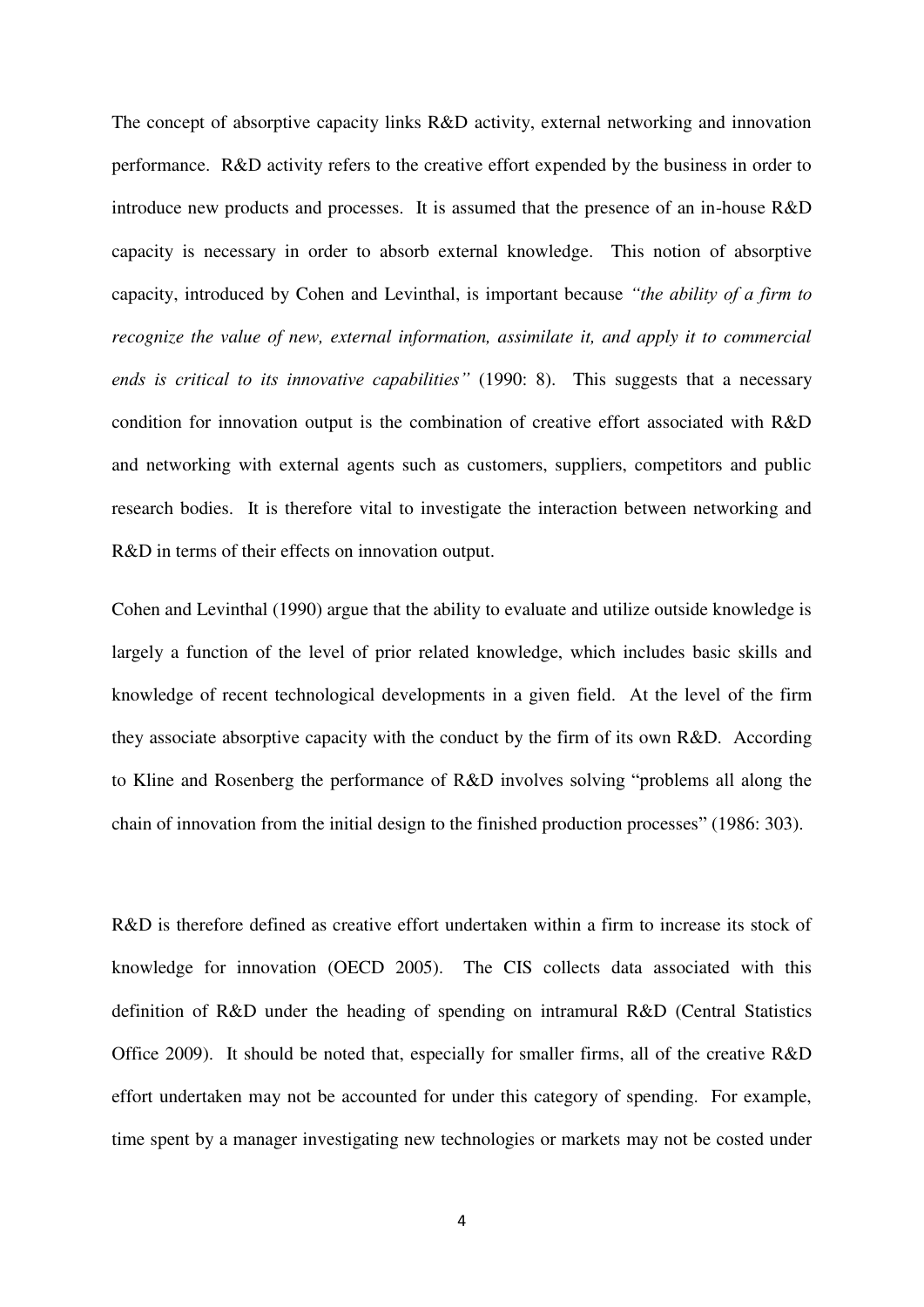The concept of absorptive capacity links R&D activity, external networking and innovation performance. R&D activity refers to the creative effort expended by the business in order to introduce new products and processes. It is assumed that the presence of an in-house R&D capacity is necessary in order to absorb external knowledge. This notion of absorptive capacity, introduced by Cohen and Levinthal, is important because *"the ability of a firm to recognize the value of new, external information, assimilate it, and apply it to commercial ends is critical to its innovative capabilities"* (1990: 8). This suggests that a necessary condition for innovation output is the combination of creative effort associated with R&D and networking with external agents such as customers, suppliers, competitors and public research bodies. It is therefore vital to investigate the interaction between networking and R&D in terms of their effects on innovation output.

Cohen and Levinthal [\(1990\)](#page-25-0) argue that the ability to evaluate and utilize outside knowledge is largely a function of the level of prior related knowledge, which includes basic skills and knowledge of recent technological developments in a given field. At the level of the firm they associate absorptive capacity with the conduct by the firm of its own R&D. According to Kline and Rosenberg the performance of R&D involves solving "problems all along the chain of innovation from the initial design to the finished production processes" (1986: 303).

R&D is therefore defined as creative effort undertaken within a firm to increase its stock of knowledge for innovation [\(OECD 2005\)](#page-28-0). The CIS collects data associated with this definition of R&D under the heading of spending on intramural R&D [\(Central Statistics](#page-25-3)  [Office 2009\)](#page-25-3). It should be noted that, especially for smaller firms, all of the creative R&D effort undertaken may not be accounted for under this category of spending. For example, time spent by a manager investigating new technologies or markets may not be costed under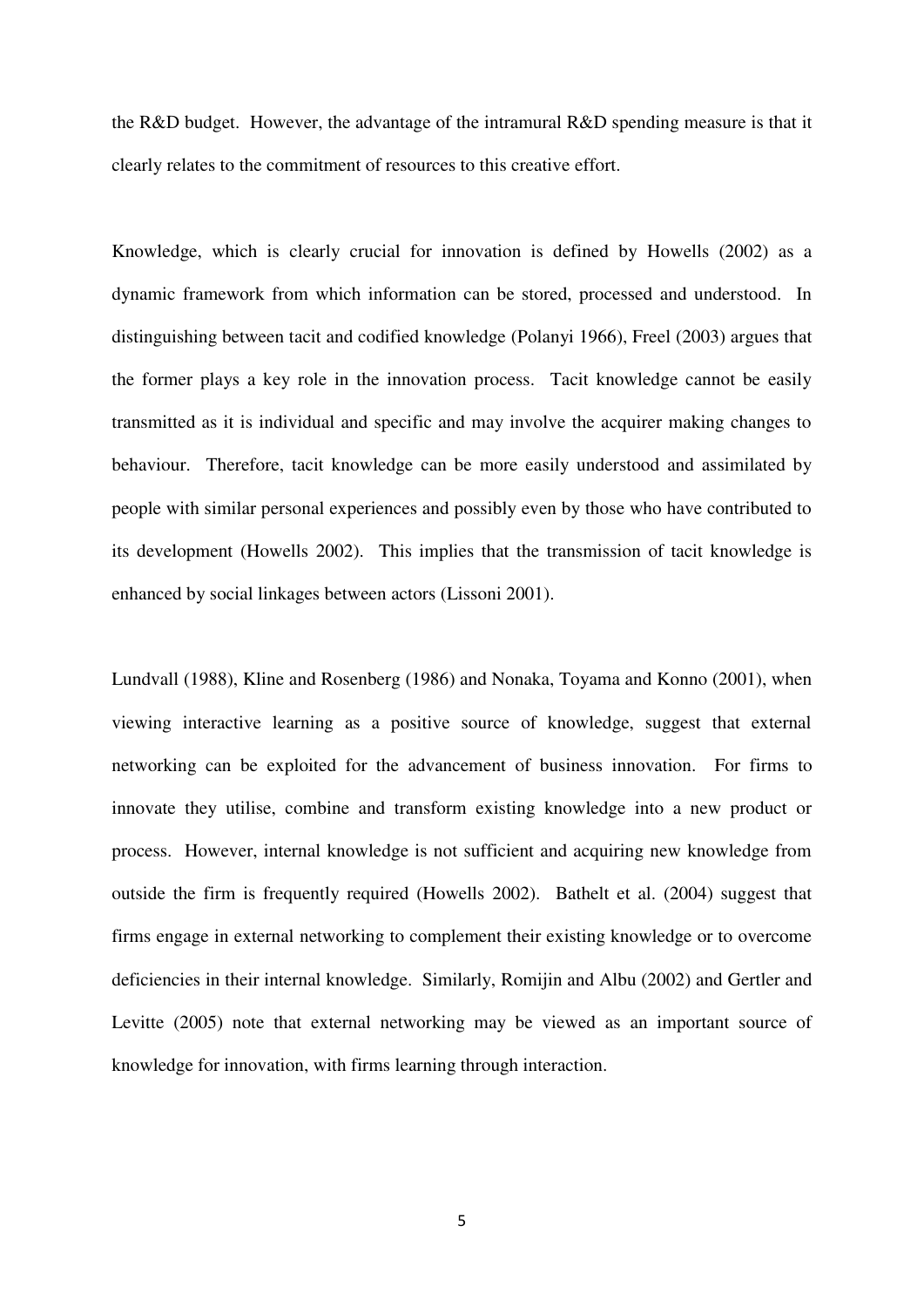the R&D budget. However, the advantage of the intramural R&D spending measure is that it clearly relates to the commitment of resources to this creative effort.

Knowledge, which is clearly crucial for innovation is defined by Howells [\(2002\)](#page-27-1) as a dynamic framework from which information can be stored, processed and understood. In distinguishing between tacit and codified knowledge [\(Polanyi 1966\)](#page-28-1), Freel [\(2003\)](#page-26-3) argues that the former plays a key role in the innovation process. Tacit knowledge cannot be easily transmitted as it is individual and specific and may involve the acquirer making changes to behaviour. Therefore, tacit knowledge can be more easily understood and assimilated by people with similar personal experiences and possibly even by those who have contributed to its development [\(Howells 2002\)](#page-27-1). This implies that the transmission of tacit knowledge is enhanced by social linkages between actors [\(Lissoni 2001\)](#page-27-2).

Lundvall [\(1988\)](#page-27-3), Kline and Rosenberg [\(1986\)](#page-27-4) and Nonaka, Toyama and Konno [\(2001\)](#page-27-5), when viewing interactive learning as a positive source of knowledge, suggest that external networking can be exploited for the advancement of business innovation. For firms to innovate they utilise, combine and transform existing knowledge into a new product or process. However, internal knowledge is not sufficient and acquiring new knowledge from outside the firm is frequently required [\(Howells 2002\)](#page-27-1). Bathelt et al. [\(2004\)](#page-25-4) suggest that firms engage in external networking to complement their existing knowledge or to overcome deficiencies in their internal knowledge. Similarly, Romijin and Albu [\(2002\)](#page-28-2) and Gertler and Levitte [\(2005\)](#page-26-4) note that external networking may be viewed as an important source of knowledge for innovation, with firms learning through interaction.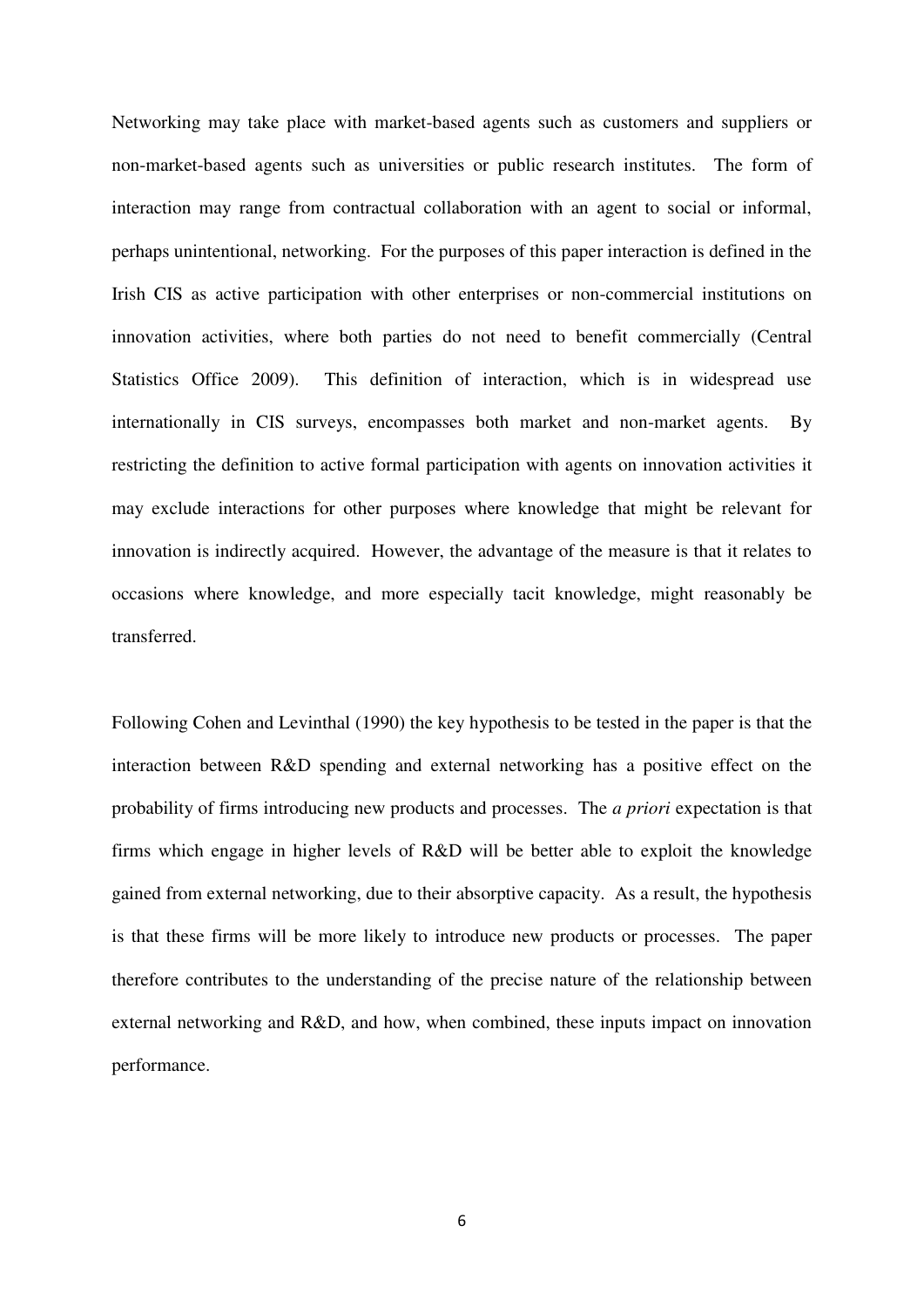Networking may take place with market-based agents such as customers and suppliers or non-market-based agents such as universities or public research institutes. The form of interaction may range from contractual collaboration with an agent to social or informal, perhaps unintentional, networking. For the purposes of this paper interaction is defined in the Irish CIS as active participation with other enterprises or non-commercial institutions on innovation activities, where both parties do not need to benefit commercially [\(Central](#page-25-3)  [Statistics Office 2009\)](#page-25-3). This definition of interaction, which is in widespread use internationally in CIS surveys, encompasses both market and non-market agents. By restricting the definition to active formal participation with agents on innovation activities it may exclude interactions for other purposes where knowledge that might be relevant for innovation is indirectly acquired. However, the advantage of the measure is that it relates to occasions where knowledge, and more especially tacit knowledge, might reasonably be transferred.

Following Cohen and Levinthal [\(1990\)](#page-25-0) the key hypothesis to be tested in the paper is that the interaction between R&D spending and external networking has a positive effect on the probability of firms introducing new products and processes. The *a priori* expectation is that firms which engage in higher levels of R&D will be better able to exploit the knowledge gained from external networking, due to their absorptive capacity. As a result, the hypothesis is that these firms will be more likely to introduce new products or processes. The paper therefore contributes to the understanding of the precise nature of the relationship between external networking and R&D, and how, when combined, these inputs impact on innovation performance.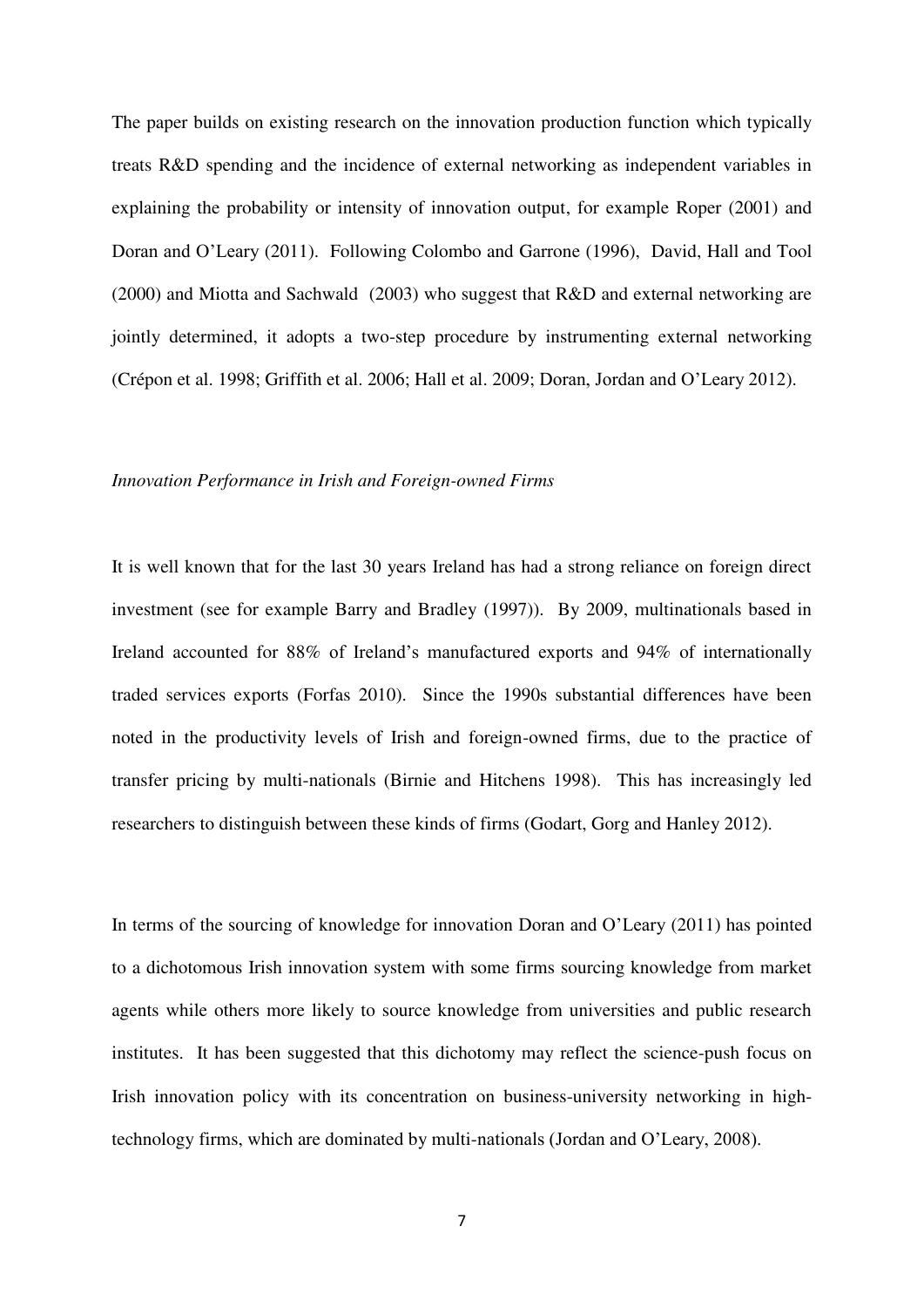The paper builds on existing research on the innovation production function which typically treats R&D spending and the incidence of external networking as independent variables in explaining the probability or intensity of innovation output, for example Roper [\(2001\)](#page-28-3) and Doran and O'Leary [\(2011\)](#page-26-1). Following Colombo and Garrone [\(1996\)](#page-25-5), David, Hall and Tool [\(2000\)](#page-25-6) and Miotta and Sachwald (2003) who suggest that R&D and external networking are jointly determined, it adopts a two-step procedure by instrumenting external networking [\(Crépon et al. 1998;](#page-25-1) [Griffith et al. 2006;](#page-26-2) [Hall et al. 2009;](#page-27-0) [Doran, Jordan and O'Leary 2012](#page-25-7)).

#### *Innovation Performance in Irish and Foreign-owned Firms*

It is well known that for the last 30 years Ireland has had a strong reliance on foreign direct investment (see for example Barry and Bradley [\(1997\)](#page-25-8)). By 2009, multinationals based in Ireland accounted for 88% of Ireland's manufactured exports and 94% of internationally traded services exports [\(Forfas 2010\)](#page-26-5). Since the 1990s substantial differences have been noted in the productivity levels of Irish and foreign-owned firms, due to the practice of transfer pricing by multi-nationals [\(Birnie and Hitchens 1998\)](#page-25-9). This has increasingly led researchers to distinguish between these kinds of firms [\(Godart, Gorg and Hanley 2012\)](#page-26-6).

In terms of the sourcing of knowledge for innovation Doran and O'Leary [\(2011\)](#page-26-1) has pointed to a dichotomous Irish innovation system with some firms sourcing knowledge from market agents while others more likely to source knowledge from universities and public research institutes. It has been suggested that this dichotomy may reflect the science-push focus on Irish innovation policy with its concentration on business-university networking in hightechnology firms, which are dominated by multi-nationals (Jordan and O'Leary, 2008).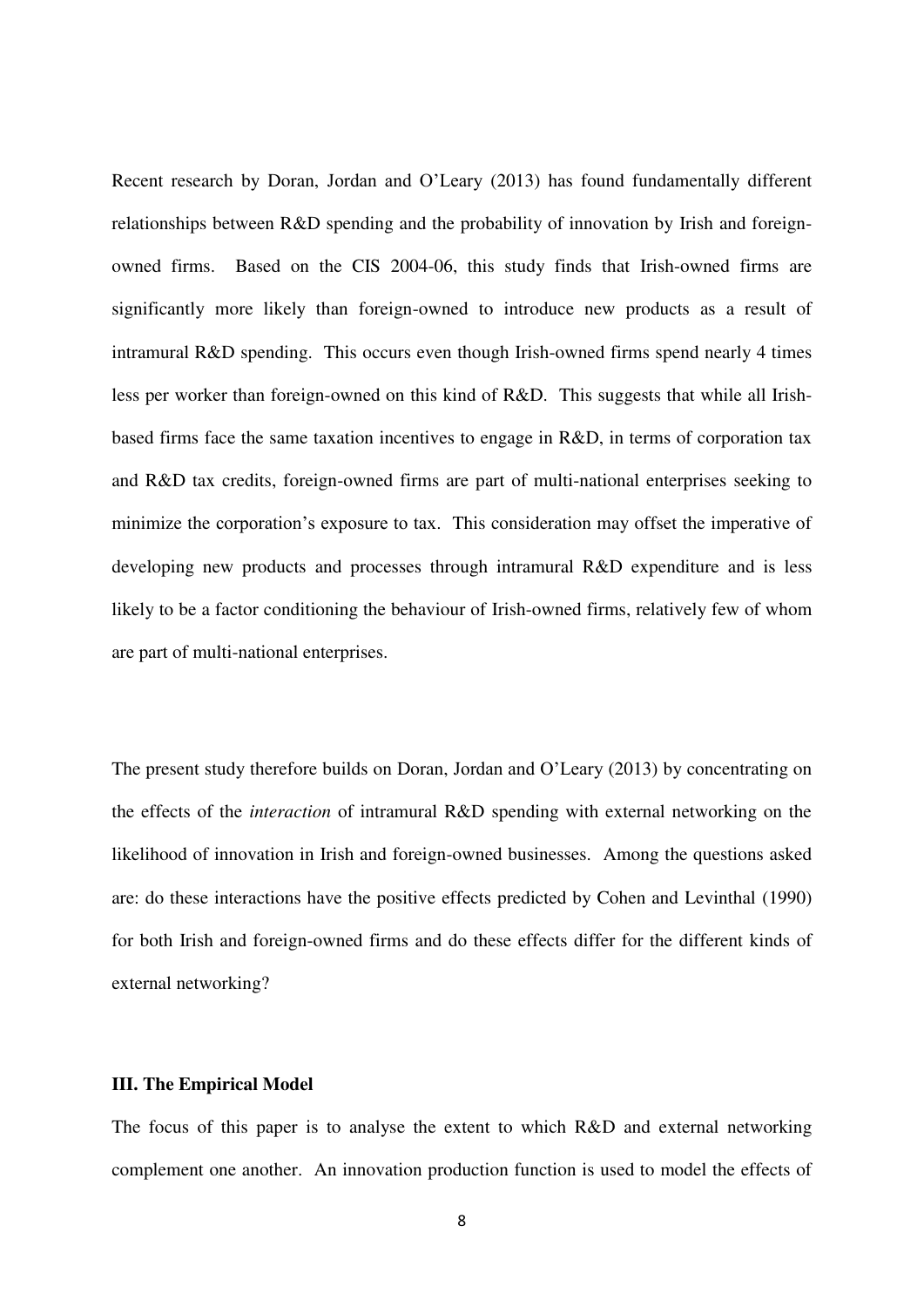Recent research by Doran, Jordan and O'Leary [\(2013\)](#page-26-0) has found fundamentally different relationships between R&D spending and the probability of innovation by Irish and foreignowned firms. Based on the CIS 2004-06, this study finds that Irish-owned firms are significantly more likely than foreign-owned to introduce new products as a result of intramural R&D spending. This occurs even though Irish-owned firms spend nearly 4 times less per worker than foreign-owned on this kind of R&D. This suggests that while all Irishbased firms face the same taxation incentives to engage in R&D, in terms of corporation tax and R&D tax credits, foreign-owned firms are part of multi-national enterprises seeking to minimize the corporation's exposure to tax. This consideration may offset the imperative of developing new products and processes through intramural R&D expenditure and is less likely to be a factor conditioning the behaviour of Irish-owned firms, relatively few of whom are part of multi-national enterprises.

The present study therefore builds on Doran, Jordan and O'Leary [\(2013\)](#page-26-0) by concentrating on the effects of the *interaction* of intramural R&D spending with external networking on the likelihood of innovation in Irish and foreign-owned businesses. Among the questions asked are: do these interactions have the positive effects predicted by Cohen and Levinthal [\(1990\)](#page-25-0) for both Irish and foreign-owned firms and do these effects differ for the different kinds of external networking?

#### **III. The Empirical Model**

The focus of this paper is to analyse the extent to which R&D and external networking complement one another. An innovation production function is used to model the effects of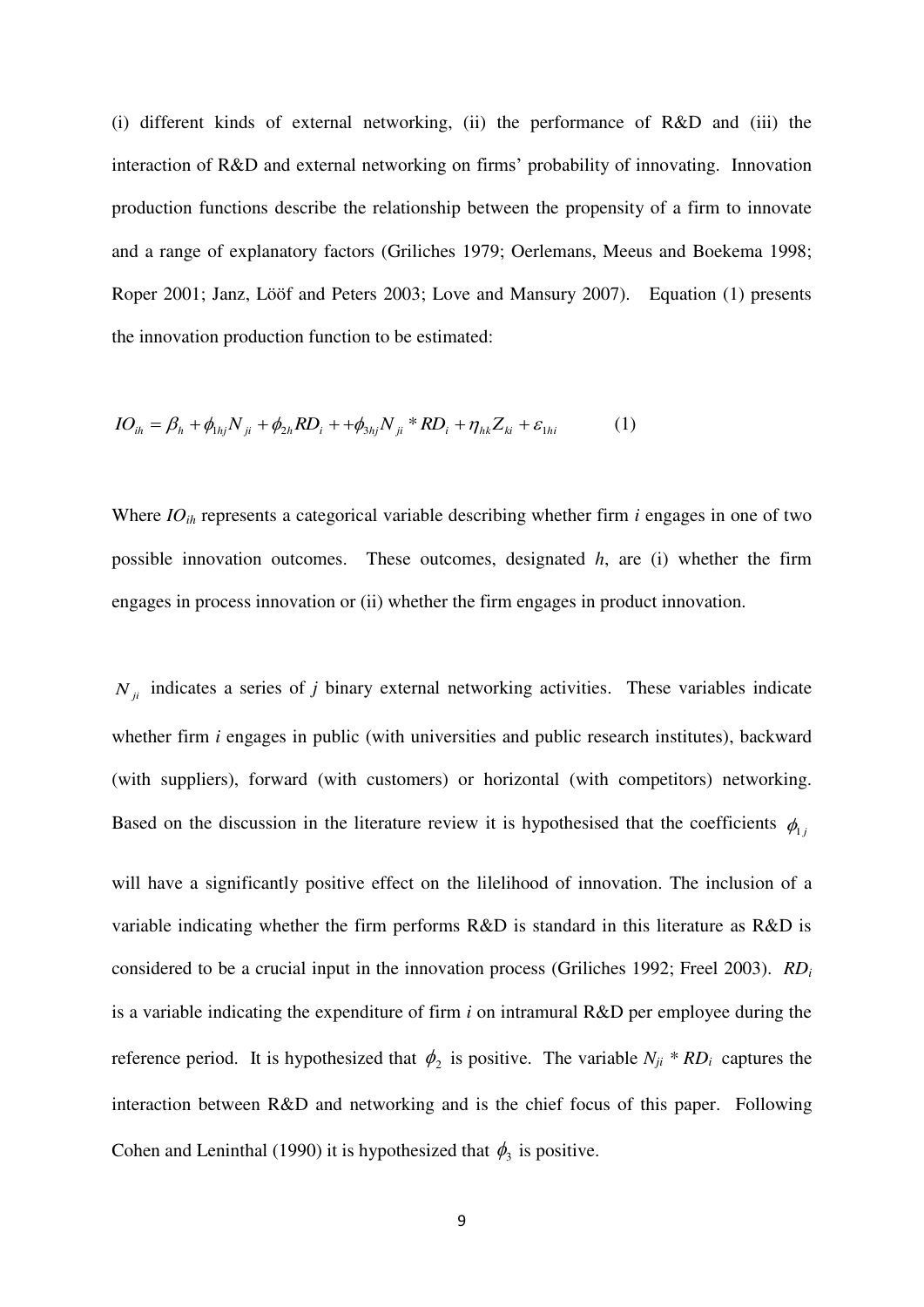(i) different kinds of external networking, (ii) the performance of R&D and (iii) the interaction of R&D and external networking on firms' probability of innovating. Innovation production functions describe the relationship between the propensity of a firm to innovate and a range of explanatory factors [\(Griliches 1979;](#page-26-7) [Oerlemans, Meeus and Boekema 1998;](#page-28-4) [Roper 2001;](#page-28-3) [Janz, Lööf and Peters 2003;](#page-27-6) [Love and Mansury 2007\)](#page-27-7). Equation (1) presents the innovation production function to be estimated:

$$
IO_{ih} = \beta_h + \phi_{1hj} N_{ji} + \phi_{2h} RD_i + + \phi_{3hj} N_{ji} * RD_i + \eta_{hk} Z_{ki} + \varepsilon_{1hi}
$$
 (1)

Where *IOih* represents a categorical variable describing whether firm *i* engages in one of two possible innovation outcomes. These outcomes, designated *h*, are (i) whether the firm engages in process innovation or (ii) whether the firm engages in product innovation.

 $N_{ij}$  indicates a series of *j* binary external networking activities. These variables indicate whether firm *i* engages in public (with universities and public research institutes), backward (with suppliers), forward (with customers) or horizontal (with competitors) networking. Based on the discussion in the literature review it is hypothesised that the coefficients  $\phi_{1j}$ will have a significantly positive effect on the lilelihood of innovation. The inclusion of a variable indicating whether the firm performs R&D is standard in this literature as R&D is considered to be a crucial input in the innovation process [\(Griliches 1992;](#page-26-8) [Freel 2003\)](#page-26-3). *RD<sup>i</sup>* is a variable indicating the expenditure of firm *i* on intramural R&D per employee during the reference period. It is hypothesized that  $\phi_2$  is positive. The variable  $N_{ji} * RD_i$  captures the interaction between R&D and networking and is the chief focus of this paper. Following Cohen and Leninthal [\(1990\)](#page-25-0) it is hypothesized that  $\phi_3$  is positive.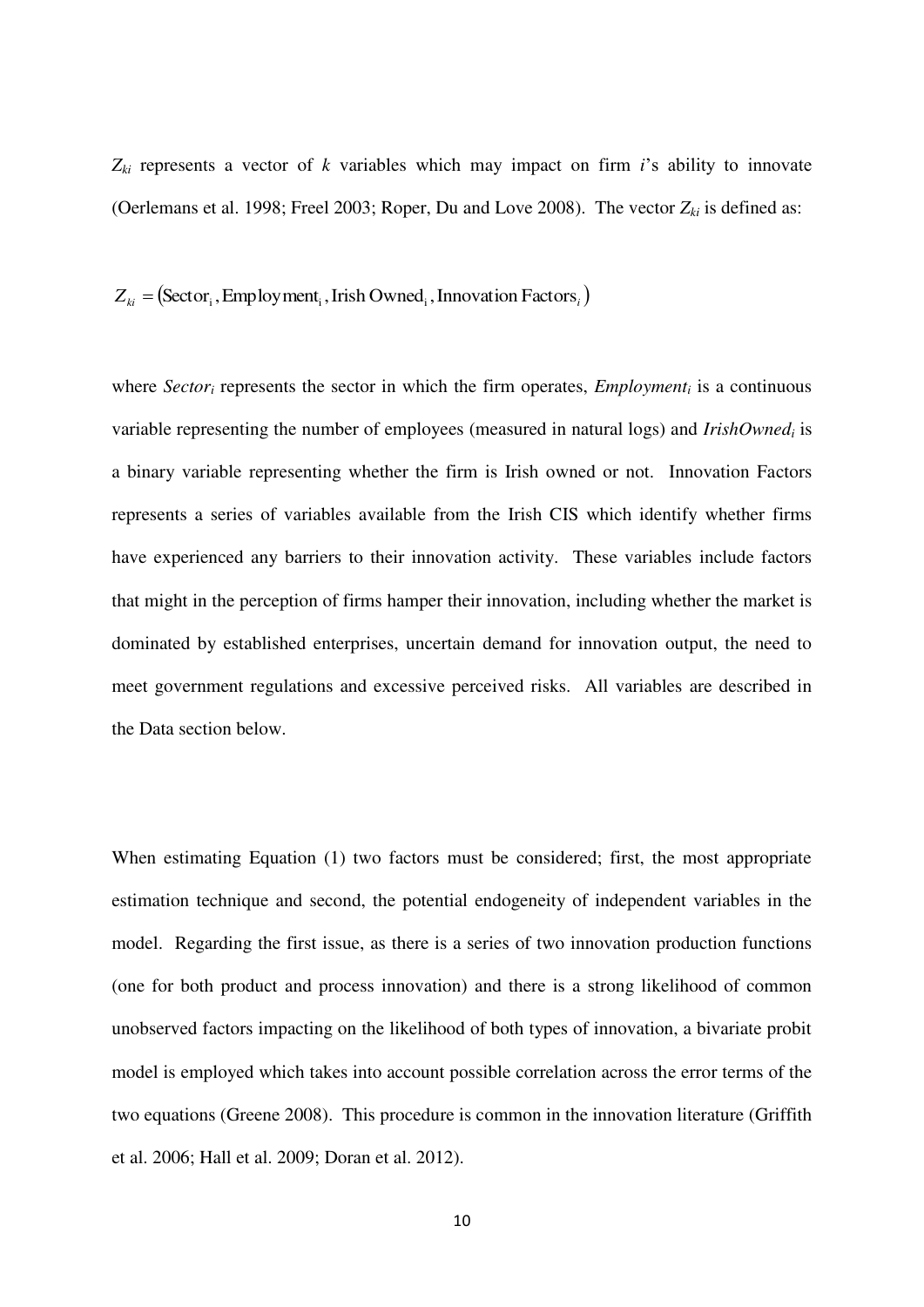$Z_{ki}$  represents a vector of *k* variables which may impact on firm *i*'s ability to innovate [\(Oerlemans et al. 1998;](#page-28-4) [Freel 2003;](#page-26-3) [Roper, Du and Love 2008\)](#page-28-5). The vector *Zki* is defined as:

 $Z_{ki} = (Sector_i, Employment_i, Irish Owned_i, Innovation Factors_i)$ 

where *Sector<sub>i</sub>* represents the sector in which the firm operates, *Employment<sub>i</sub>* is a continuous variable representing the number of employees (measured in natural logs) and *IrishOwned<sup>i</sup>* is a binary variable representing whether the firm is Irish owned or not. Innovation Factors represents a series of variables available from the Irish CIS which identify whether firms have experienced any barriers to their innovation activity. These variables include factors that might in the perception of firms hamper their innovation, including whether the market is dominated by established enterprises, uncertain demand for innovation output, the need to meet government regulations and excessive perceived risks. All variables are described in the Data section below.

When estimating Equation (1) two factors must be considered; first, the most appropriate estimation technique and second, the potential endogeneity of independent variables in the model. Regarding the first issue, as there is a series of two innovation production functions (one for both product and process innovation) and there is a strong likelihood of common unobserved factors impacting on the likelihood of both types of innovation, a bivariate probit model is employed which takes into account possible correlation across the error terms of the two equations [\(Greene 2008\)](#page-26-9). This procedure is common in the innovation literature [\(Griffith](#page-26-2)  [et al. 2006;](#page-26-2) [Hall et al. 2009;](#page-27-0) [Doran et al. 2012\)](#page-25-7).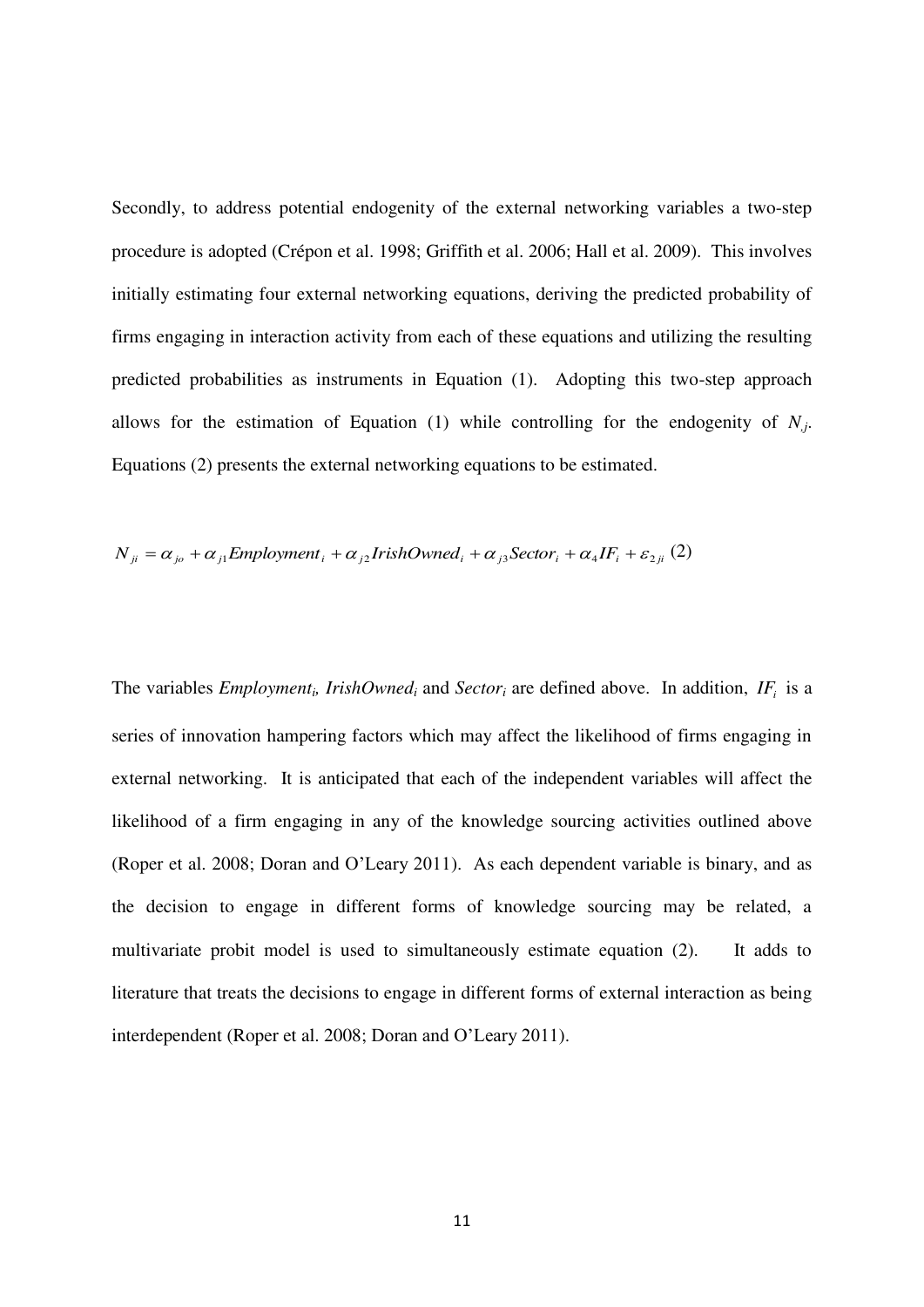Secondly, to address potential endogenity of the external networking variables a two-step procedure is adopted [\(Crépon et al. 1998;](#page-25-1) [Griffith et al. 2006;](#page-26-2) [Hall et al. 2009\)](#page-27-0). This involves initially estimating four external networking equations, deriving the predicted probability of firms engaging in interaction activity from each of these equations and utilizing the resulting predicted probabilities as instruments in Equation (1). Adopting this two-step approach allows for the estimation of Equation (1) while controlling for the endogenity of  $N_j$ . Equations (2) presents the external networking equations to be estimated.

$$
N_{ji} = \alpha_{j0} + \alpha_{j1} \text{Emboyment}_{i} + \alpha_{j2} \text{IrishOwned}_{i} + \alpha_{j3} \text{Sector}_{i} + \alpha_{4} \text{IF}_{i} + \varepsilon_{2ji} (2)
$$

The variables *Employment<sub>i</sub>*, *IrishOwned*<sup>*i*</sup> and *Sector*<sup>*i*</sup> are defined above. In addition,  $IF_i$  is a series of innovation hampering factors which may affect the likelihood of firms engaging in external networking. It is anticipated that each of the independent variables will affect the likelihood of a firm engaging in any of the knowledge sourcing activities outlined above [\(Roper et al. 2008;](#page-28-5) [Doran and O'Leary 2011](#page-26-1)). As each dependent variable is binary, and as the decision to engage in different forms of knowledge sourcing may be related, a multivariate probit model is used to simultaneously estimate equation (2). It adds to literature that treats the decisions to engage in different forms of external interaction as being interdependent [\(Roper et al. 2008;](#page-28-5) [Doran and O'Leary 2011](#page-26-1)).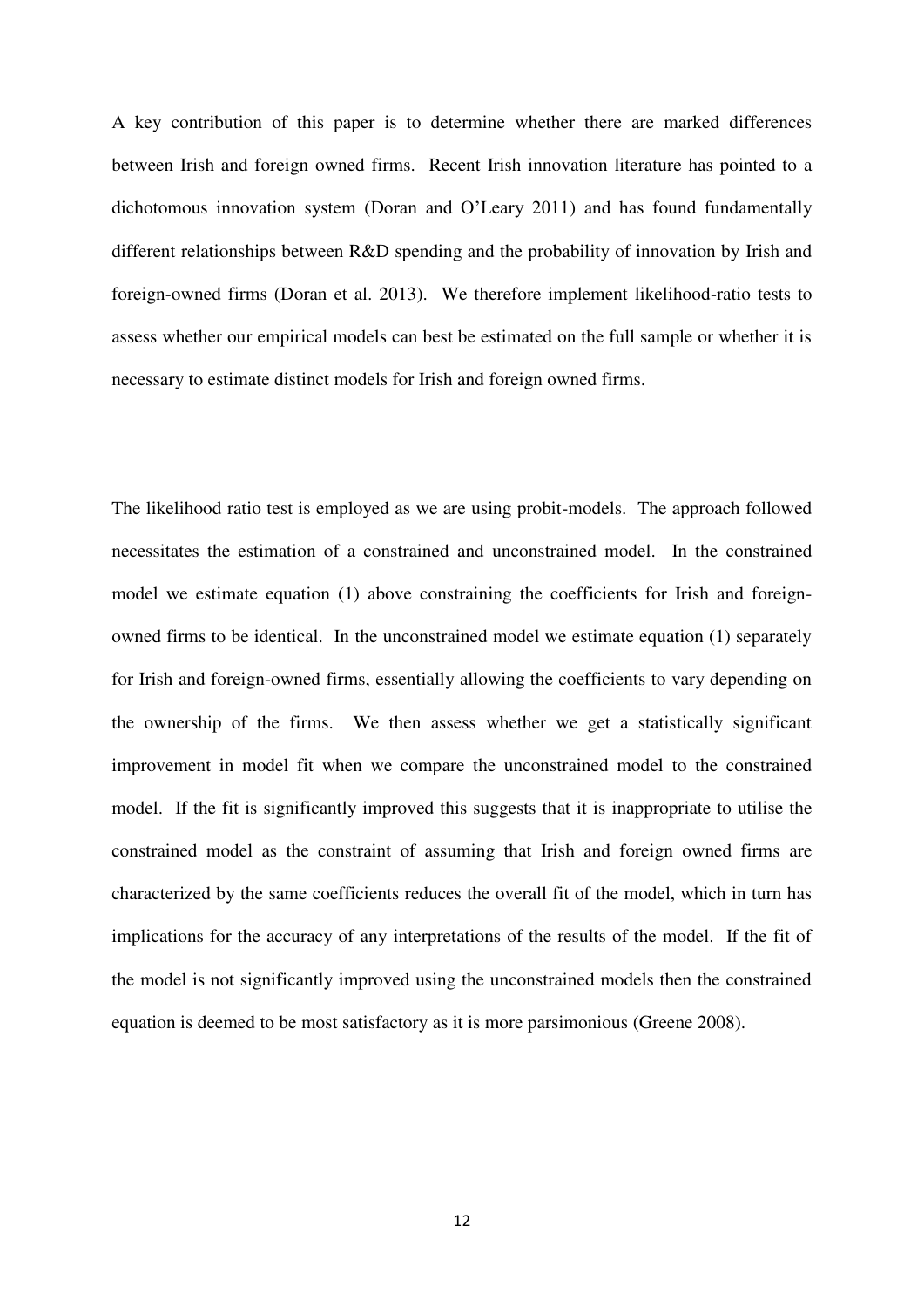A key contribution of this paper is to determine whether there are marked differences between Irish and foreign owned firms. Recent Irish innovation literature has pointed to a dichotomous innovation system ([Doran and O'Leary 2011](#page-26-1)) and has found fundamentally different relationships between R&D spending and the probability of innovation by Irish and foreign-owned firms [\(Doran et al. 2013\)](#page-26-0). We therefore implement likelihood-ratio tests to assess whether our empirical models can best be estimated on the full sample or whether it is necessary to estimate distinct models for Irish and foreign owned firms.

The likelihood ratio test is employed as we are using probit-models. The approach followed necessitates the estimation of a constrained and unconstrained model. In the constrained model we estimate equation (1) above constraining the coefficients for Irish and foreignowned firms to be identical. In the unconstrained model we estimate equation (1) separately for Irish and foreign-owned firms, essentially allowing the coefficients to vary depending on the ownership of the firms. We then assess whether we get a statistically significant improvement in model fit when we compare the unconstrained model to the constrained model. If the fit is significantly improved this suggests that it is inappropriate to utilise the constrained model as the constraint of assuming that Irish and foreign owned firms are characterized by the same coefficients reduces the overall fit of the model, which in turn has implications for the accuracy of any interpretations of the results of the model. If the fit of the model is not significantly improved using the unconstrained models then the constrained equation is deemed to be most satisfactory as it is more parsimonious [\(Greene 2008\)](#page-26-9).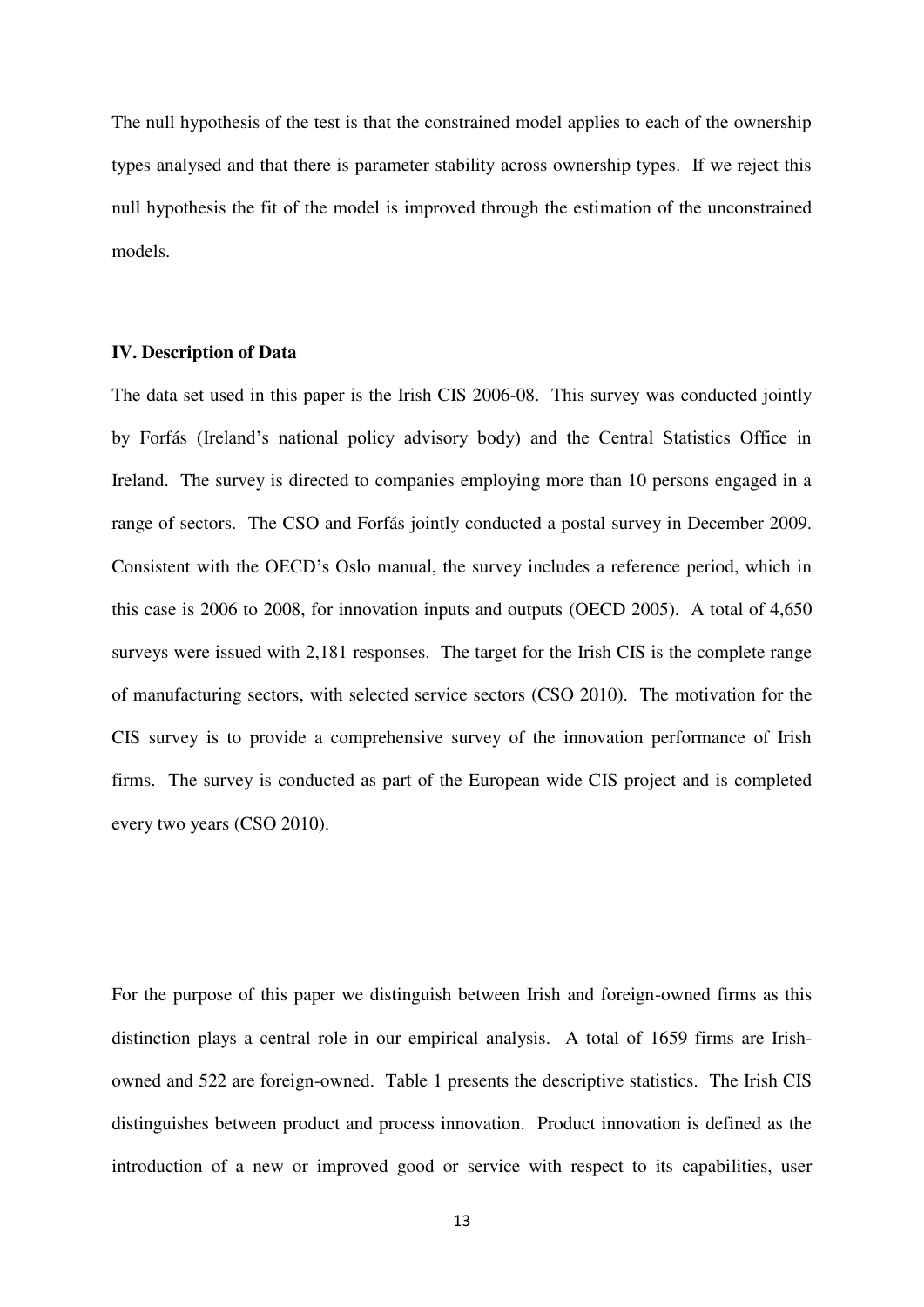The null hypothesis of the test is that the constrained model applies to each of the ownership types analysed and that there is parameter stability across ownership types. If we reject this null hypothesis the fit of the model is improved through the estimation of the unconstrained models.

#### **IV. Description of Data**

The data set used in this paper is the Irish CIS 2006-08. This survey was conducted jointly by Forfás (Ireland's national policy advisory body) and the Central Statistics Office in Ireland. The survey is directed to companies employing more than 10 persons engaged in a range of sectors. The CSO and Forfás jointly conducted a postal survey in December 2009. Consistent with the OECD's Oslo manual, the survey includes a reference period, which in this case is 2006 to 2008, for innovation inputs and outputs [\(OECD 2005\)](#page-28-0). A total of 4,650 surveys were issued with 2,181 responses. The target for the Irish CIS is the complete range of manufacturing sectors, with selected service sectors [\(CSO 2010\)](#page-25-2). The motivation for the CIS survey is to provide a comprehensive survey of the innovation performance of Irish firms. The survey is conducted as part of the European wide CIS project and is completed every two years [\(CSO 2010\)](#page-25-2).

For the purpose of this paper we distinguish between Irish and foreign-owned firms as this distinction plays a central role in our empirical analysis. A total of 1659 firms are Irishowned and 522 are foreign-owned. Table 1 presents the descriptive statistics. The Irish CIS distinguishes between product and process innovation. Product innovation is defined as the introduction of a new or improved good or service with respect to its capabilities, user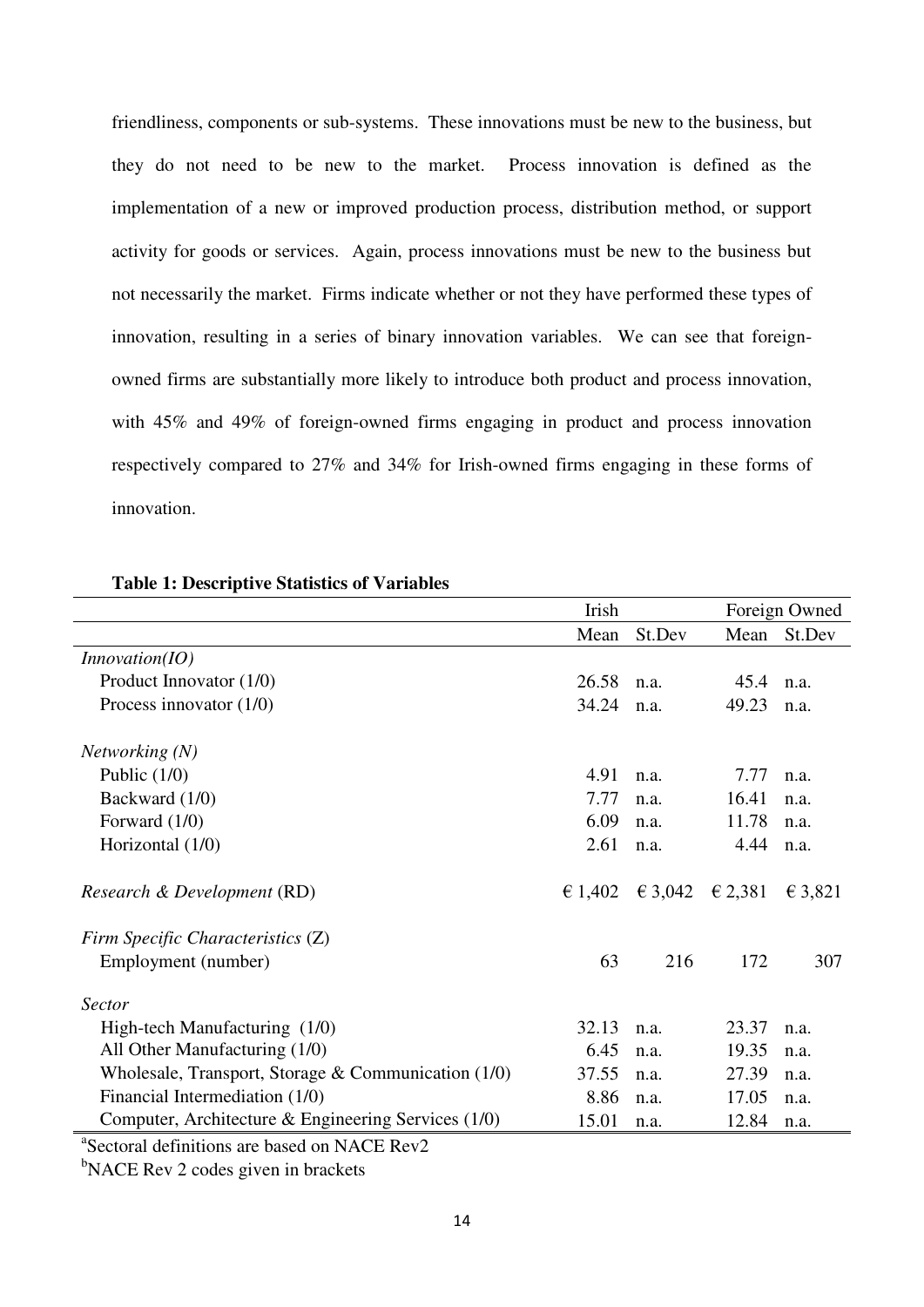friendliness, components or sub-systems. These innovations must be new to the business, but they do not need to be new to the market. Process innovation is defined as the implementation of a new or improved production process, distribution method, or support activity for goods or services. Again, process innovations must be new to the business but not necessarily the market. Firms indicate whether or not they have performed these types of innovation, resulting in a series of binary innovation variables. We can see that foreignowned firms are substantially more likely to introduce both product and process innovation, with 45% and 49% of foreign-owned firms engaging in product and process innovation respectively compared to 27% and 34% for Irish-owned firms engaging in these forms of innovation.

|                                                     | Irish   |         | Foreign Owned    |         |
|-----------------------------------------------------|---------|---------|------------------|---------|
|                                                     | Mean    | St.Dev  | Mean             | St.Dev  |
| In novation (IO)                                    |         |         |                  |         |
| Product Innovator (1/0)                             | 26.58   | n.a.    | 45.4             | n.a.    |
| Process innovator $(1/0)$                           | 34.24   | n.a.    | 49.23            | n.a.    |
| Networking(N)                                       |         |         |                  |         |
| Public $(1/0)$                                      | 4.91    | n.a.    | 7.77             | n.a.    |
| Backward (1/0)                                      | 7.77    | n.a.    | 16.41            | n.a.    |
| Forward $(1/0)$                                     | 6.09    | n.a.    | 11.78            | n.a.    |
| Horizontal (1/0)                                    | 2.61    | n.a.    | 4.44             | n.a.    |
| Research & Development (RD)                         | € 1,402 | € 3,042 | $\epsilon$ 2,381 | € 3,821 |
| Firm Specific Characteristics (Z)                   |         |         |                  |         |
| Employment (number)                                 | 63      | 216     | 172              | 307     |
| <b>Sector</b>                                       |         |         |                  |         |
| High-tech Manufacturing (1/0)                       | 32.13   | n.a.    | 23.37            | n.a.    |
| All Other Manufacturing (1/0)                       | 6.45    | n.a.    | 19.35            | n.a.    |
| Wholesale, Transport, Storage & Communication (1/0) | 37.55   | n.a.    | 27.39            | n.a.    |
| Financial Intermediation (1/0)                      | 8.86    | n.a.    | 17.05            | n.a.    |
| Computer, Architecture & Engineering Services (1/0) | 15.01   | n.a.    | 12.84            | n.a.    |

#### **Table 1: Descriptive Statistics of Variables**

a Sectoral definitions are based on NACE Rev2

 $b$ NACE Rev 2 codes given in brackets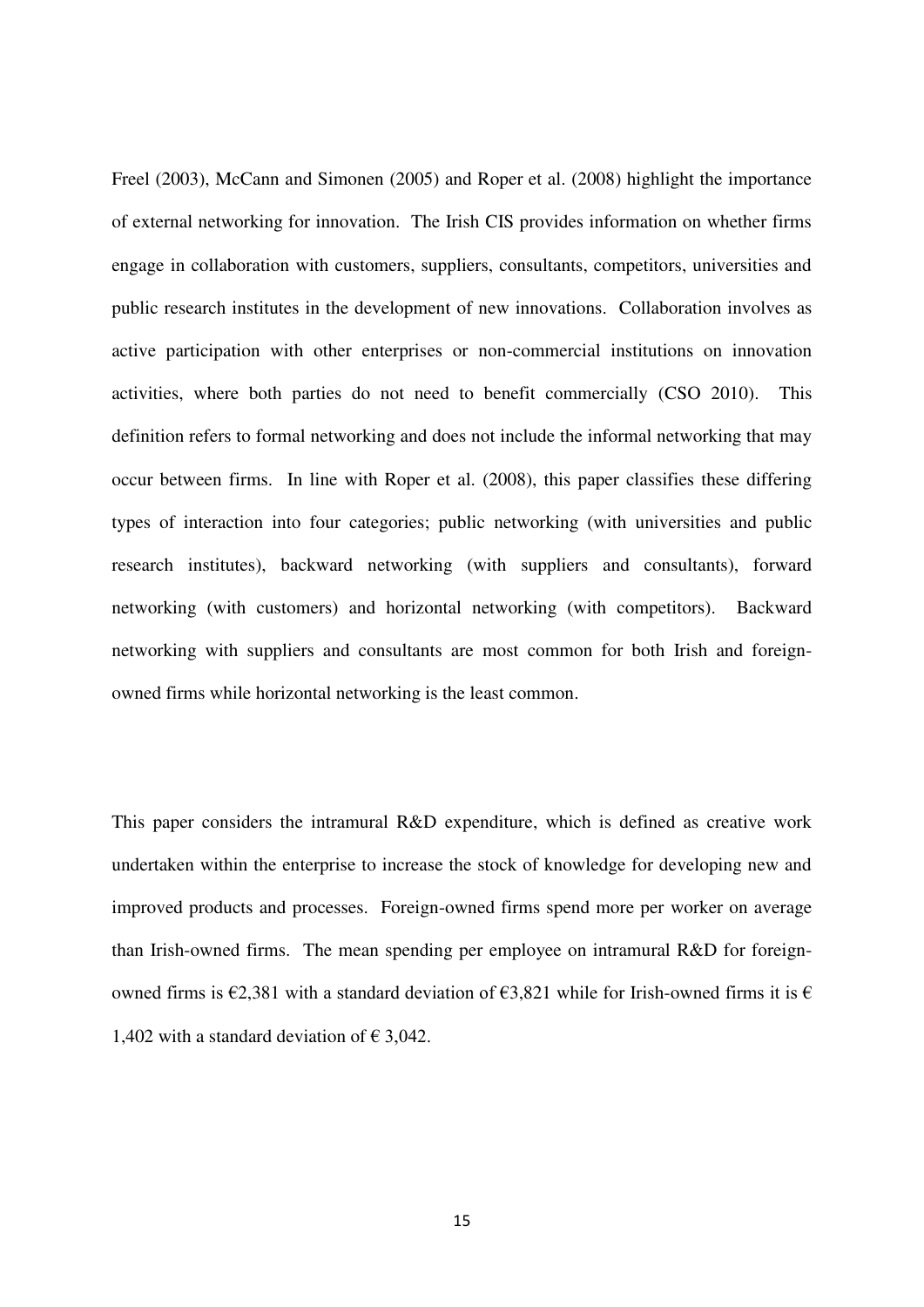Freel [\(2003\)](#page-26-3), McCann and Simonen [\(2005\)](#page-27-8) and Roper et al. [\(2008\)](#page-28-5) highlight the importance of external networking for innovation. The Irish CIS provides information on whether firms engage in collaboration with customers, suppliers, consultants, competitors, universities and public research institutes in the development of new innovations. Collaboration involves as active participation with other enterprises or non-commercial institutions on innovation activities, where both parties do not need to benefit commercially [\(CSO 2010\)](#page-25-2). This definition refers to formal networking and does not include the informal networking that may occur between firms. In line with Roper et al. [\(2008\)](#page-28-5), this paper classifies these differing types of interaction into four categories; public networking (with universities and public research institutes), backward networking (with suppliers and consultants), forward networking (with customers) and horizontal networking (with competitors). Backward networking with suppliers and consultants are most common for both Irish and foreignowned firms while horizontal networking is the least common.

This paper considers the intramural R&D expenditure, which is defined as creative work undertaken within the enterprise to increase the stock of knowledge for developing new and improved products and processes. Foreign-owned firms spend more per worker on average than Irish-owned firms. The mean spending per employee on intramural R&D for foreignowned firms is  $\epsilon$ 2,381 with a standard deviation of  $\epsilon$ 3,821 while for Irish-owned firms it is  $\epsilon$ 1,402 with a standard deviation of  $\epsilon$  3,042.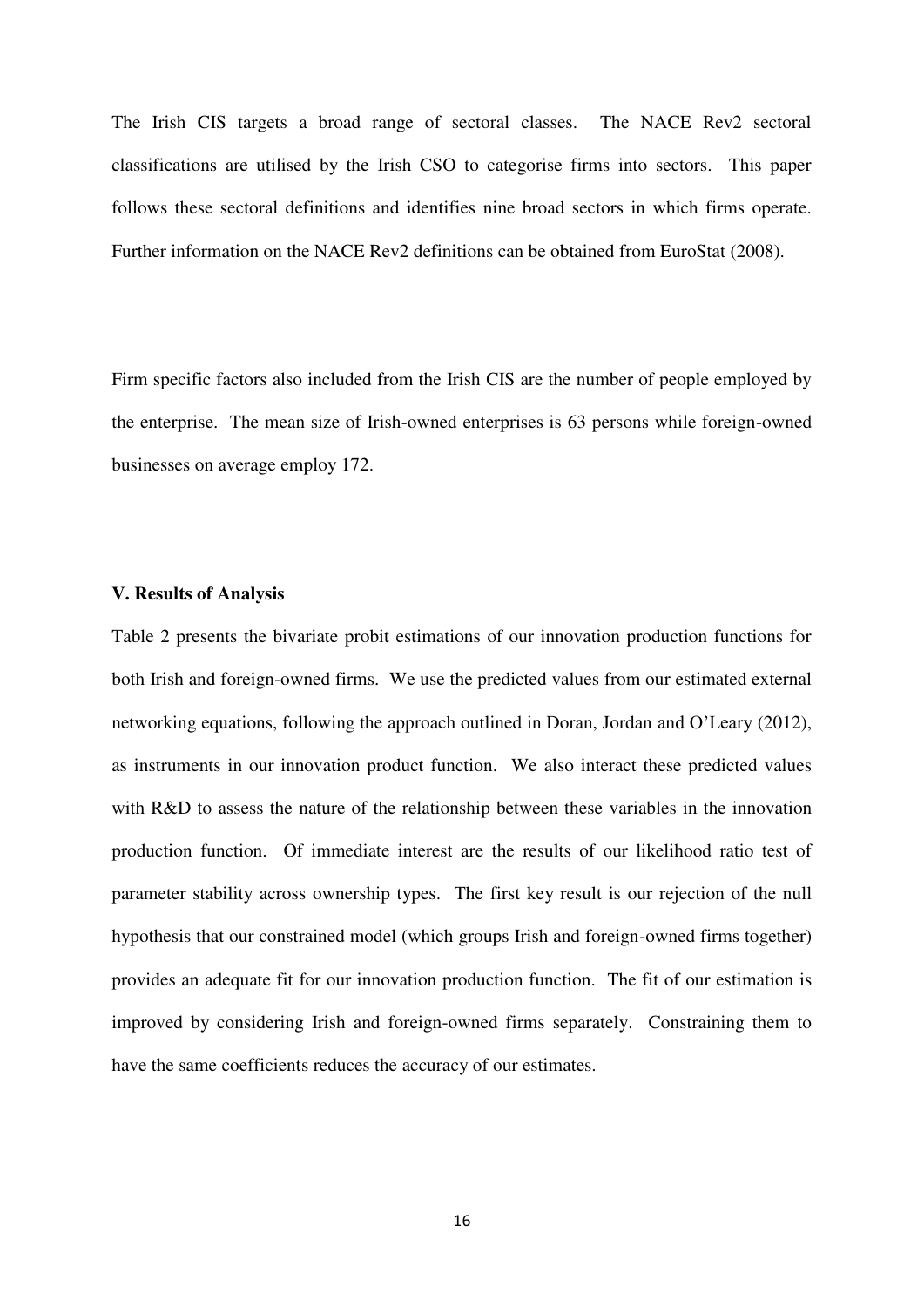The Irish CIS targets a broad range of sectoral classes. The NACE Rev2 sectoral classifications are utilised by the Irish CSO to categorise firms into sectors. This paper follows these sectoral definitions and identifies nine broad sectors in which firms operate. Further information on the NACE Rev2 definitions can be obtained from EuroStat [\(2008\)](#page-26-10).

Firm specific factors also included from the Irish CIS are the number of people employed by the enterprise. The mean size of Irish-owned enterprises is 63 persons while foreign-owned businesses on average employ 172.

#### **V. Results of Analysis**

Table 2 presents the bivariate probit estimations of our innovation production functions for both Irish and foreign-owned firms. We use the predicted values from our estimated external networking equations, following the approach outlined in Doran, Jordan and O'Leary [\(2012\)](#page-25-7), as instruments in our innovation product function. We also interact these predicted values with R&D to assess the nature of the relationship between these variables in the innovation production function. Of immediate interest are the results of our likelihood ratio test of parameter stability across ownership types. The first key result is our rejection of the null hypothesis that our constrained model (which groups Irish and foreign-owned firms together) provides an adequate fit for our innovation production function. The fit of our estimation is improved by considering Irish and foreign-owned firms separately. Constraining them to have the same coefficients reduces the accuracy of our estimates.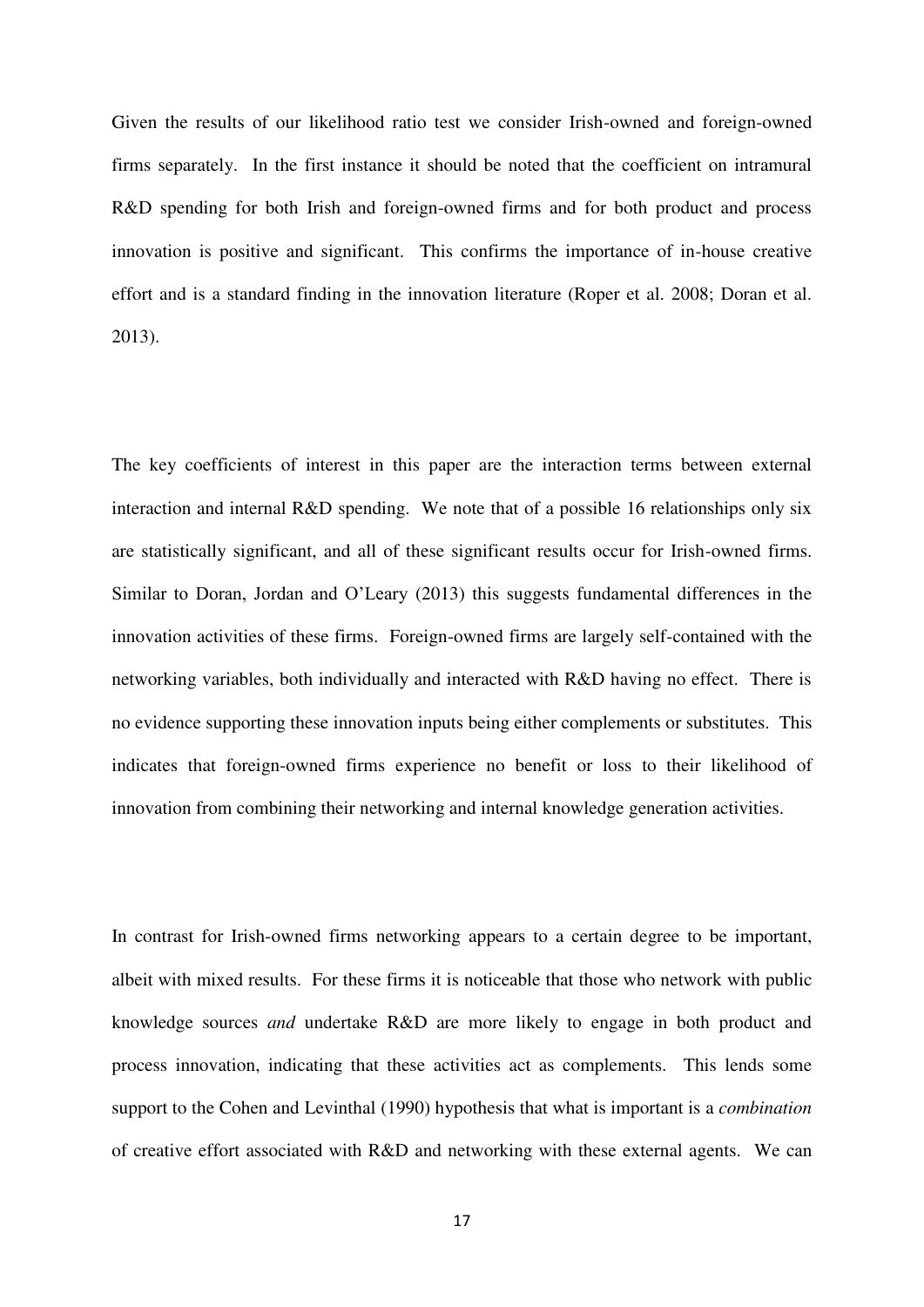Given the results of our likelihood ratio test we consider Irish-owned and foreign-owned firms separately. In the first instance it should be noted that the coefficient on intramural R&D spending for both Irish and foreign-owned firms and for both product and process innovation is positive and significant. This confirms the importance of in-house creative effort and is a standard finding in the innovation literature [\(Roper et al. 2008;](#page-28-5) [Doran et al.](#page-26-0)  [2013\)](#page-26-0).

The key coefficients of interest in this paper are the interaction terms between external interaction and internal R&D spending. We note that of a possible 16 relationships only six are statistically significant, and all of these significant results occur for Irish-owned firms. Similar to Doran, Jordan and O'Leary [\(2013\)](#page-26-0) this suggests fundamental differences in the innovation activities of these firms. Foreign-owned firms are largely self-contained with the networking variables, both individually and interacted with R&D having no effect. There is no evidence supporting these innovation inputs being either complements or substitutes. This indicates that foreign-owned firms experience no benefit or loss to their likelihood of innovation from combining their networking and internal knowledge generation activities.

In contrast for Irish-owned firms networking appears to a certain degree to be important, albeit with mixed results. For these firms it is noticeable that those who network with public knowledge sources *and* undertake R&D are more likely to engage in both product and process innovation, indicating that these activities act as complements. This lends some support to the Cohen and Levinthal [\(1990\)](#page-25-0) hypothesis that what is important is a *combination* of creative effort associated with R&D and networking with these external agents. We can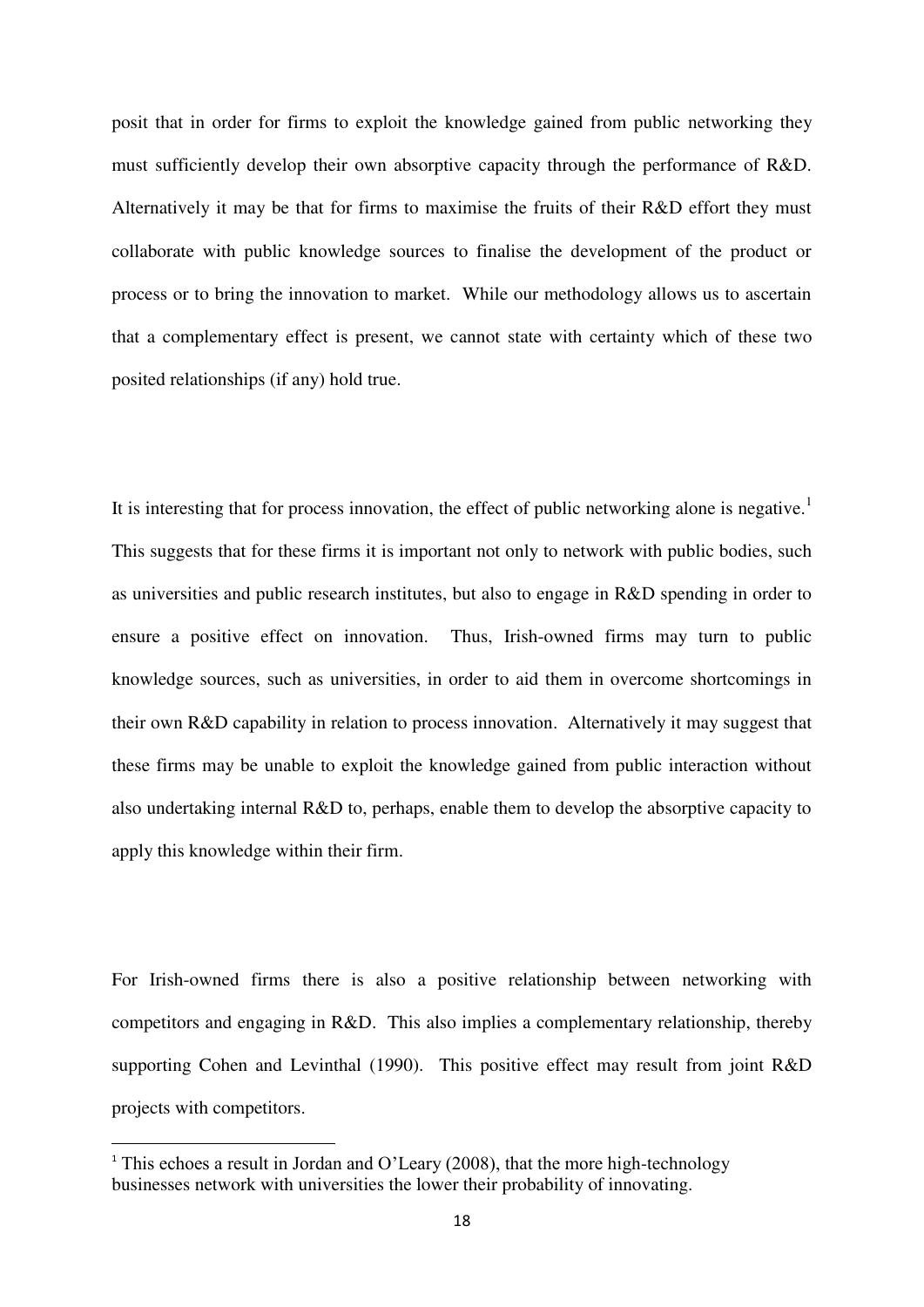posit that in order for firms to exploit the knowledge gained from public networking they must sufficiently develop their own absorptive capacity through the performance of R&D. Alternatively it may be that for firms to maximise the fruits of their R&D effort they must collaborate with public knowledge sources to finalise the development of the product or process or to bring the innovation to market. While our methodology allows us to ascertain that a complementary effect is present, we cannot state with certainty which of these two posited relationships (if any) hold true.

It is interesting that for process innovation, the effect of public networking alone is negative.<sup>1</sup> This suggests that for these firms it is important not only to network with public bodies, such as universities and public research institutes, but also to engage in R&D spending in order to ensure a positive effect on innovation. Thus, Irish-owned firms may turn to public knowledge sources, such as universities, in order to aid them in overcome shortcomings in their own R&D capability in relation to process innovation. Alternatively it may suggest that these firms may be unable to exploit the knowledge gained from public interaction without also undertaking internal R&D to, perhaps, enable them to develop the absorptive capacity to apply this knowledge within their firm.

For Irish-owned firms there is also a positive relationship between networking with competitors and engaging in R&D. This also implies a complementary relationship, thereby supporting Cohen and Levinthal [\(1990\)](#page-25-0). This positive effect may result from joint R&D projects with competitors.

 $\overline{a}$ 

<sup>&</sup>lt;sup>1</sup> This echoes a result in Jordan and O'Leary (2008), that the more high-technology businesses network with universities the lower their probability of innovating.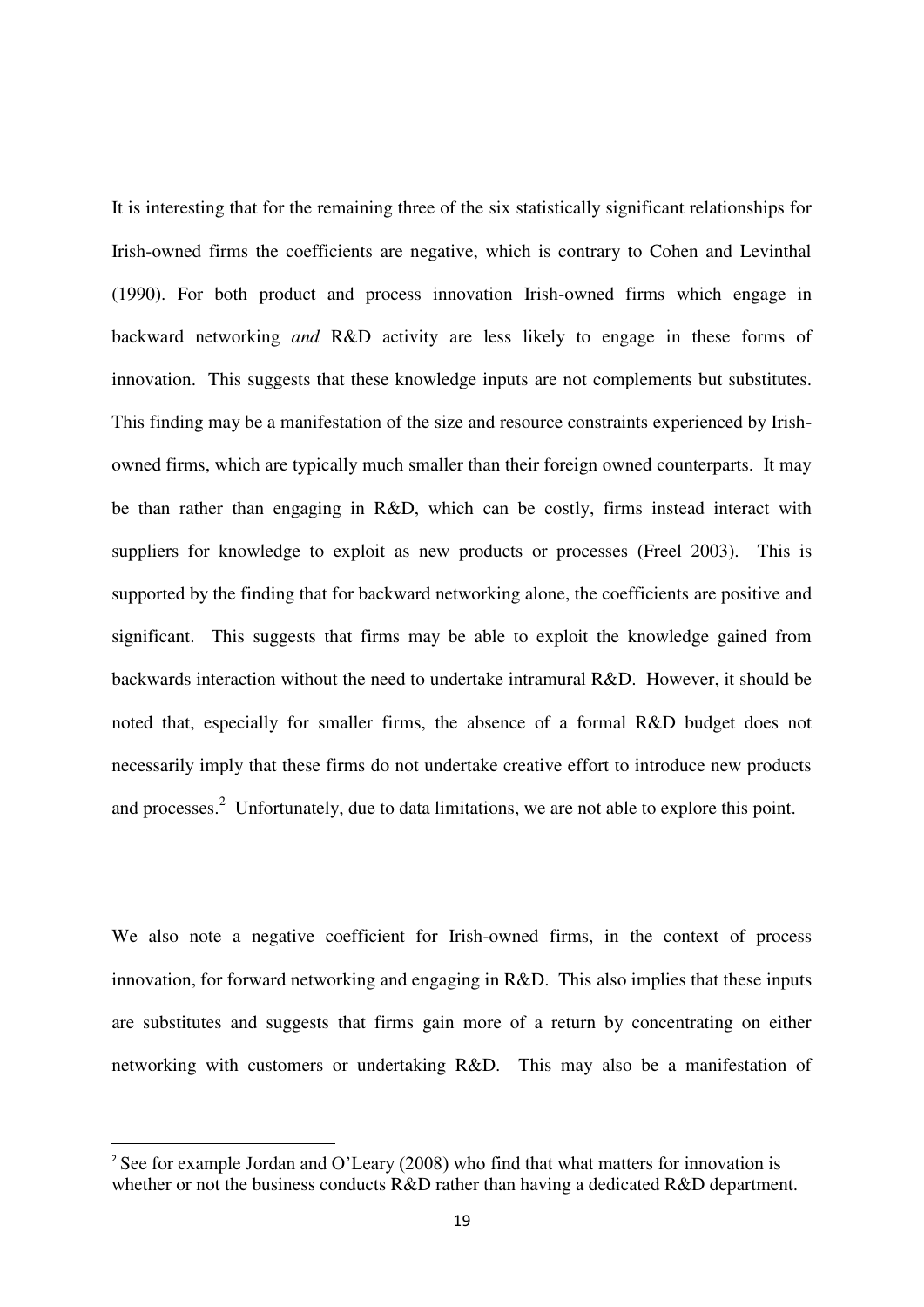It is interesting that for the remaining three of the six statistically significant relationships for Irish-owned firms the coefficients are negative, which is contrary to Cohen and Levinthal [\(1990\)](#page-25-0). For both product and process innovation Irish-owned firms which engage in backward networking *and* R&D activity are less likely to engage in these forms of innovation. This suggests that these knowledge inputs are not complements but substitutes. This finding may be a manifestation of the size and resource constraints experienced by Irishowned firms, which are typically much smaller than their foreign owned counterparts. It may be than rather than engaging in R&D, which can be costly, firms instead interact with suppliers for knowledge to exploit as new products or processes [\(Freel 2003\)](#page-26-3). This is supported by the finding that for backward networking alone, the coefficients are positive and significant. This suggests that firms may be able to exploit the knowledge gained from backwards interaction without the need to undertake intramural R&D. However, it should be noted that, especially for smaller firms, the absence of a formal R&D budget does not necessarily imply that these firms do not undertake creative effort to introduce new products and processes.<sup>2</sup> Unfortunately, due to data limitations, we are not able to explore this point.

We also note a negative coefficient for Irish-owned firms, in the context of process innovation, for forward networking and engaging in R&D. This also implies that these inputs are substitutes and suggests that firms gain more of a return by concentrating on either networking with customers or undertaking R&D. This may also be a manifestation of

 $\overline{a}$ 

<sup>&</sup>lt;sup>2</sup> See for example Jordan and O'Leary (2008) who find that what matters for innovation is whether or not the business conducts R&D rather than having a dedicated R&D department.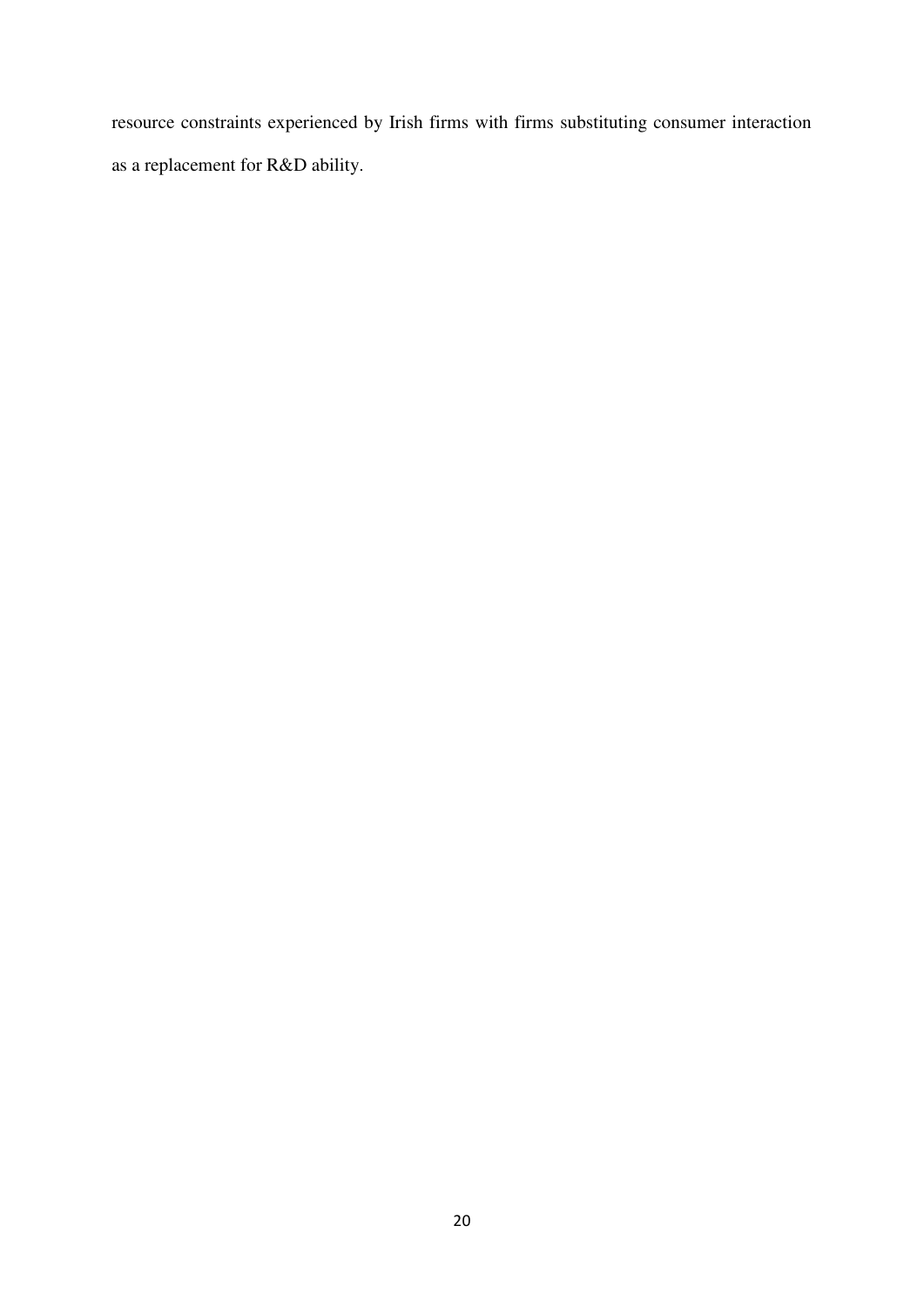resource constraints experienced by Irish firms with firms substituting consumer interaction as a replacement for R&D ability.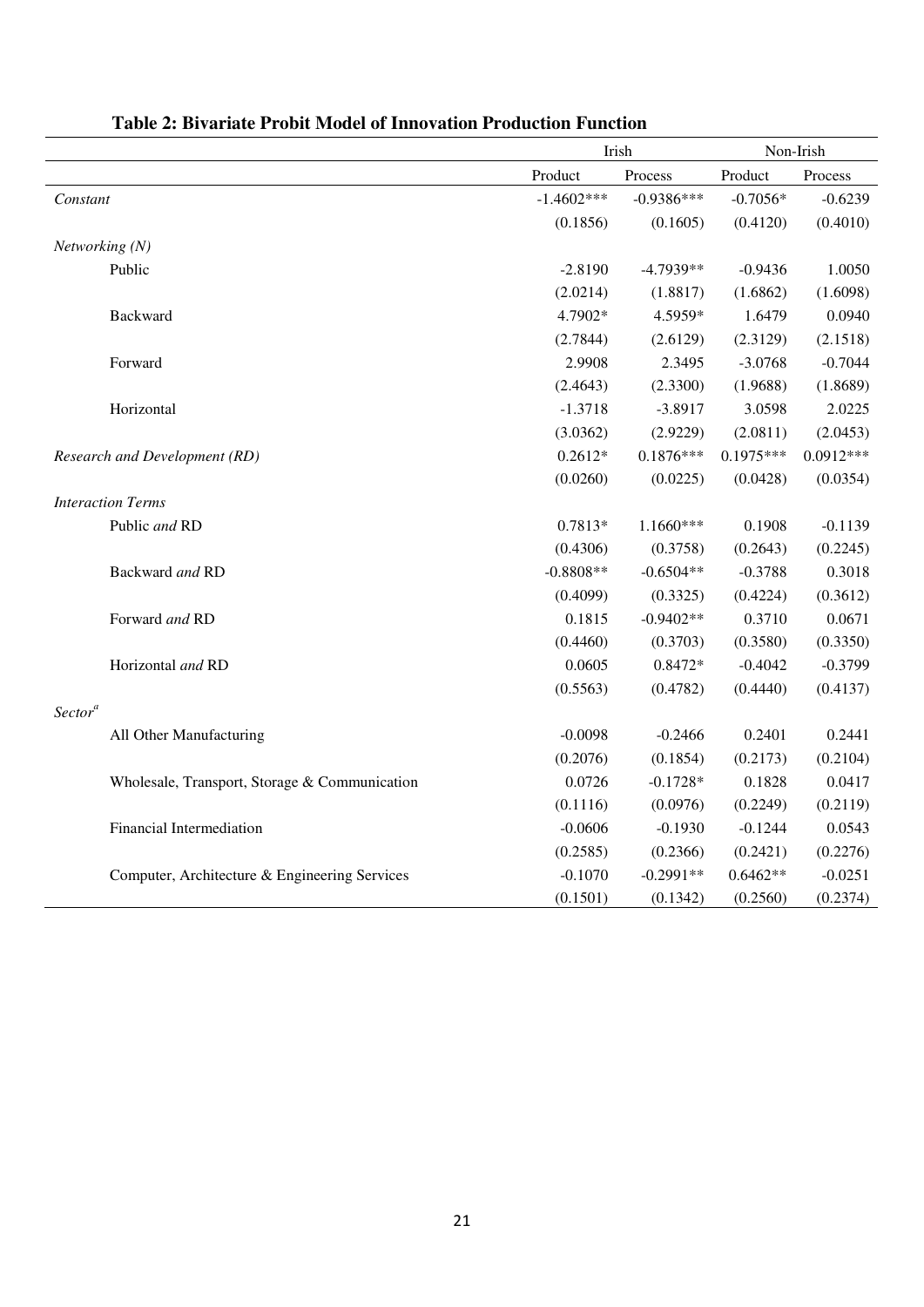|                                               |              | Irish        |             | Non-Irish   |  |
|-----------------------------------------------|--------------|--------------|-------------|-------------|--|
|                                               | Product      | Process      | Product     | Process     |  |
| Constant                                      | $-1.4602***$ | $-0.9386***$ | $-0.7056*$  | $-0.6239$   |  |
|                                               | (0.1856)     | (0.1605)     | (0.4120)    | (0.4010)    |  |
| Networking (N)                                |              |              |             |             |  |
| Public                                        | $-2.8190$    | $-4.7939**$  | $-0.9436$   | 1.0050      |  |
|                                               | (2.0214)     | (1.8817)     | (1.6862)    | (1.6098)    |  |
| <b>Backward</b>                               | 4.7902*      | 4.5959*      | 1.6479      | 0.0940      |  |
|                                               | (2.7844)     | (2.6129)     | (2.3129)    | (2.1518)    |  |
| Forward                                       | 2.9908       | 2.3495       | $-3.0768$   | $-0.7044$   |  |
|                                               | (2.4643)     | (2.3300)     | (1.9688)    | (1.8689)    |  |
| Horizontal                                    | $-1.3718$    | $-3.8917$    | 3.0598      | 2.0225      |  |
|                                               | (3.0362)     | (2.9229)     | (2.0811)    | (2.0453)    |  |
| Research and Development (RD)                 | $0.2612*$    | $0.1876***$  | $0.1975***$ | $0.0912***$ |  |
|                                               | (0.0260)     | (0.0225)     | (0.0428)    | (0.0354)    |  |
| <b>Interaction Terms</b>                      |              |              |             |             |  |
| Public and RD                                 | 0.7813*      | 1.1660***    | 0.1908      | $-0.1139$   |  |
|                                               | (0.4306)     | (0.3758)     | (0.2643)    | (0.2245)    |  |
| Backward and RD                               | $-0.8808**$  | $-0.6504**$  | $-0.3788$   | 0.3018      |  |
|                                               | (0.4099)     | (0.3325)     | (0.4224)    | (0.3612)    |  |
| Forward and RD                                | 0.1815       | $-0.9402**$  | 0.3710      | 0.0671      |  |
|                                               | (0.4460)     | (0.3703)     | (0.3580)    | (0.3350)    |  |
| Horizontal and RD                             | 0.0605       | $0.8472*$    | $-0.4042$   | $-0.3799$   |  |
|                                               | (0.5563)     | (0.4782)     | (0.4440)    | (0.4137)    |  |
| Sector <sup>a</sup>                           |              |              |             |             |  |
| All Other Manufacturing                       | $-0.0098$    | $-0.2466$    | 0.2401      | 0.2441      |  |
|                                               | (0.2076)     | (0.1854)     | (0.2173)    | (0.2104)    |  |
| Wholesale, Transport, Storage & Communication | 0.0726       | $-0.1728*$   | 0.1828      | 0.0417      |  |
|                                               | (0.1116)     | (0.0976)     | (0.2249)    | (0.2119)    |  |
| Financial Intermediation                      | $-0.0606$    | $-0.1930$    | $-0.1244$   | 0.0543      |  |
|                                               | (0.2585)     | (0.2366)     | (0.2421)    | (0.2276)    |  |
| Computer, Architecture & Engineering Services | $-0.1070$    | $-0.2991**$  | $0.6462**$  | $-0.0251$   |  |
|                                               | (0.1501)     | (0.1342)     | (0.2560)    | (0.2374)    |  |

### **Table 2: Bivariate Probit Model of Innovation Production Function**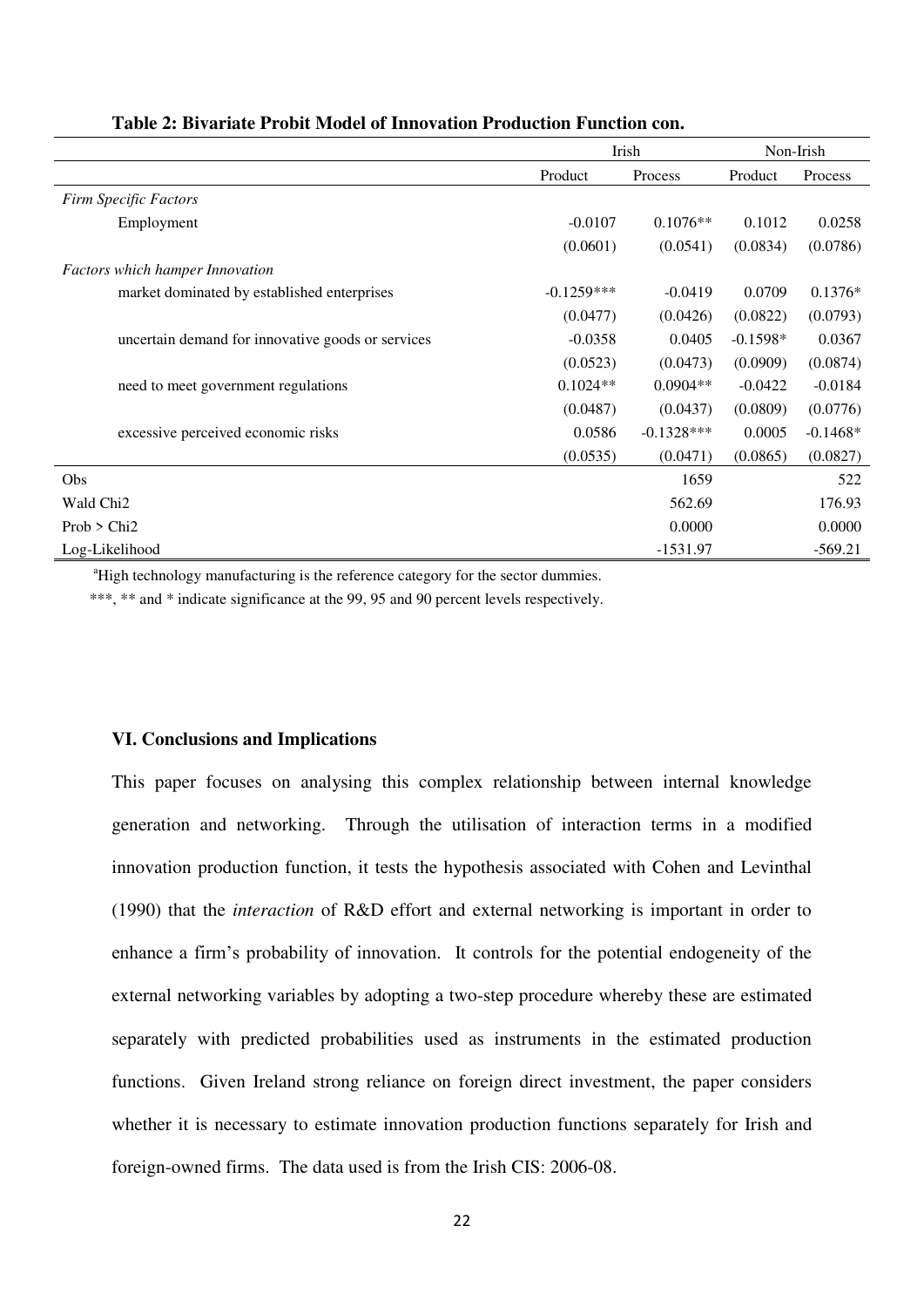|                                                   | Irish        |              | Non-Irish  |            |
|---------------------------------------------------|--------------|--------------|------------|------------|
|                                                   | Product      | Process      | Product    | Process    |
| <b>Firm Specific Factors</b>                      |              |              |            |            |
| Employment                                        | $-0.0107$    | $0.1076**$   | 0.1012     | 0.0258     |
|                                                   | (0.0601)     | (0.0541)     | (0.0834)   | (0.0786)   |
| <b>Factors which hamper Innovation</b>            |              |              |            |            |
| market dominated by established enterprises       | $-0.1259***$ | $-0.0419$    | 0.0709     | $0.1376*$  |
|                                                   | (0.0477)     | (0.0426)     | (0.0822)   | (0.0793)   |
| uncertain demand for innovative goods or services | $-0.0358$    | 0.0405       | $-0.1598*$ | 0.0367     |
|                                                   | (0.0523)     | (0.0473)     | (0.0909)   | (0.0874)   |
| need to meet government regulations               | $0.1024**$   | $0.0904**$   | $-0.0422$  | $-0.0184$  |
|                                                   | (0.0487)     | (0.0437)     | (0.0809)   | (0.0776)   |
| excessive perceived economic risks                | 0.0586       | $-0.1328***$ | 0.0005     | $-0.1468*$ |
|                                                   | (0.0535)     | (0.0471)     | (0.0865)   | (0.0827)   |
| Obs                                               |              | 1659         |            | 522        |
| Wald Chi <sub>2</sub>                             |              | 562.69       |            | 176.93     |
| Prob > Chi2                                       |              | 0.0000       |            | 0.0000     |
| Log-Likelihood                                    |              | $-1531.97$   |            | $-569.21$  |

#### **Table 2: Bivariate Probit Model of Innovation Production Function con.**

<sup>a</sup>High technology manufacturing is the reference category for the sector dummies.

\*\*\*, \*\* and \* indicate significance at the 99, 95 and 90 percent levels respectively.

#### **VI. Conclusions and Implications**

This paper focuses on analysing this complex relationship between internal knowledge generation and networking. Through the utilisation of interaction terms in a modified innovation production function, it tests the hypothesis associated with Cohen and Levinthal (1990) that the *interaction* of R&D effort and external networking is important in order to enhance a firm's probability of innovation. It controls for the potential endogeneity of the external networking variables by adopting a two-step procedure whereby these are estimated separately with predicted probabilities used as instruments in the estimated production functions. Given Ireland strong reliance on foreign direct investment, the paper considers whether it is necessary to estimate innovation production functions separately for Irish and foreign-owned firms. The data used is from the Irish CIS: 2006-08.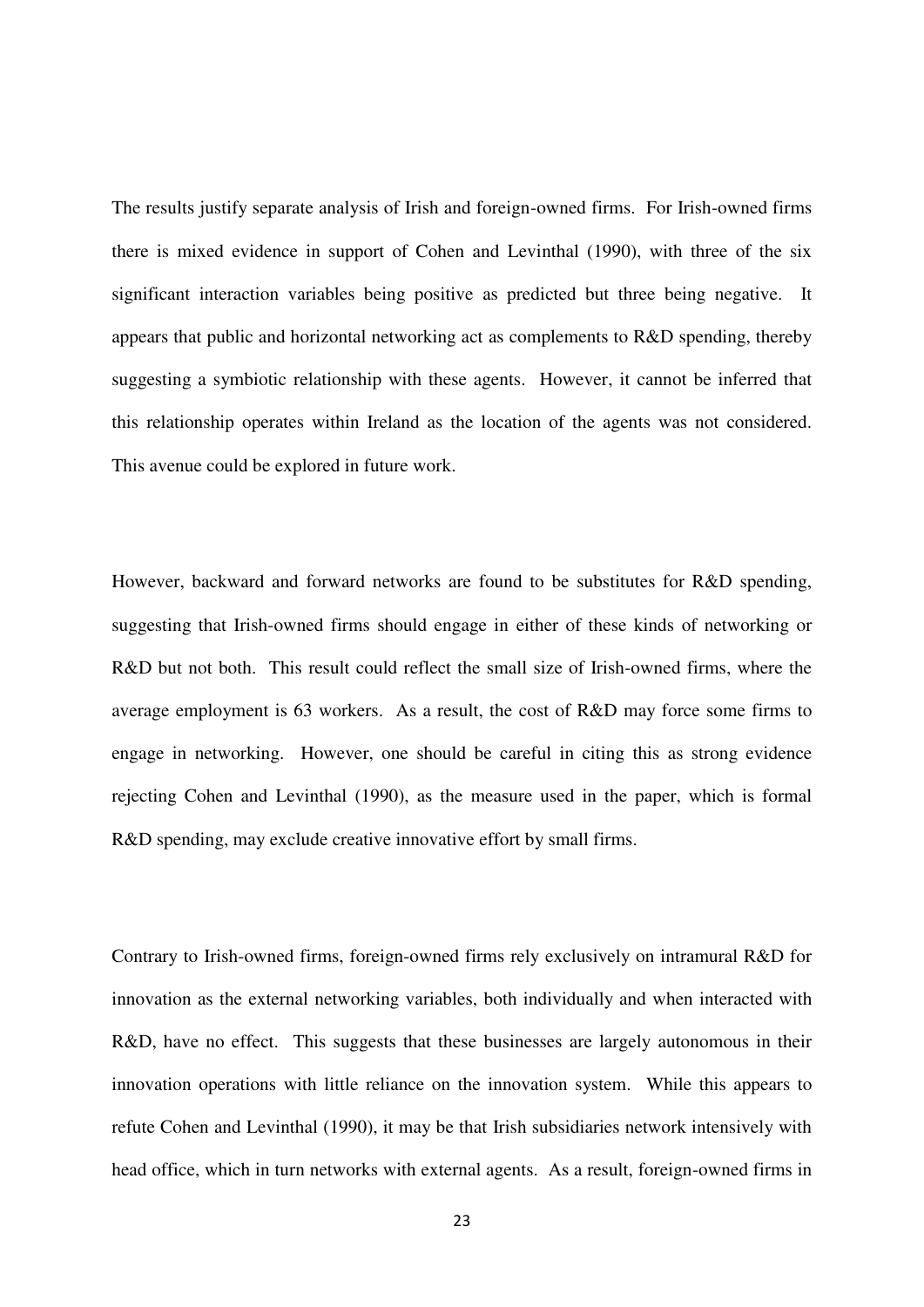The results justify separate analysis of Irish and foreign-owned firms. For Irish-owned firms there is mixed evidence in support of Cohen and Levinthal [\(1990\)](#page-25-0), with three of the six significant interaction variables being positive as predicted but three being negative. It appears that public and horizontal networking act as complements to R&D spending, thereby suggesting a symbiotic relationship with these agents. However, it cannot be inferred that this relationship operates within Ireland as the location of the agents was not considered. This avenue could be explored in future work.

However, backward and forward networks are found to be substitutes for R&D spending, suggesting that Irish-owned firms should engage in either of these kinds of networking or R&D but not both. This result could reflect the small size of Irish-owned firms, where the average employment is 63 workers. As a result, the cost of R&D may force some firms to engage in networking. However, one should be careful in citing this as strong evidence rejecting Cohen and Levinthal [\(1990\)](#page-25-0), as the measure used in the paper, which is formal R&D spending, may exclude creative innovative effort by small firms.

Contrary to Irish-owned firms, foreign-owned firms rely exclusively on intramural R&D for innovation as the external networking variables, both individually and when interacted with R&D, have no effect. This suggests that these businesses are largely autonomous in their innovation operations with little reliance on the innovation system. While this appears to refute Cohen and Levinthal [\(1990\)](#page-25-0), it may be that Irish subsidiaries network intensively with head office, which in turn networks with external agents. As a result, foreign-owned firms in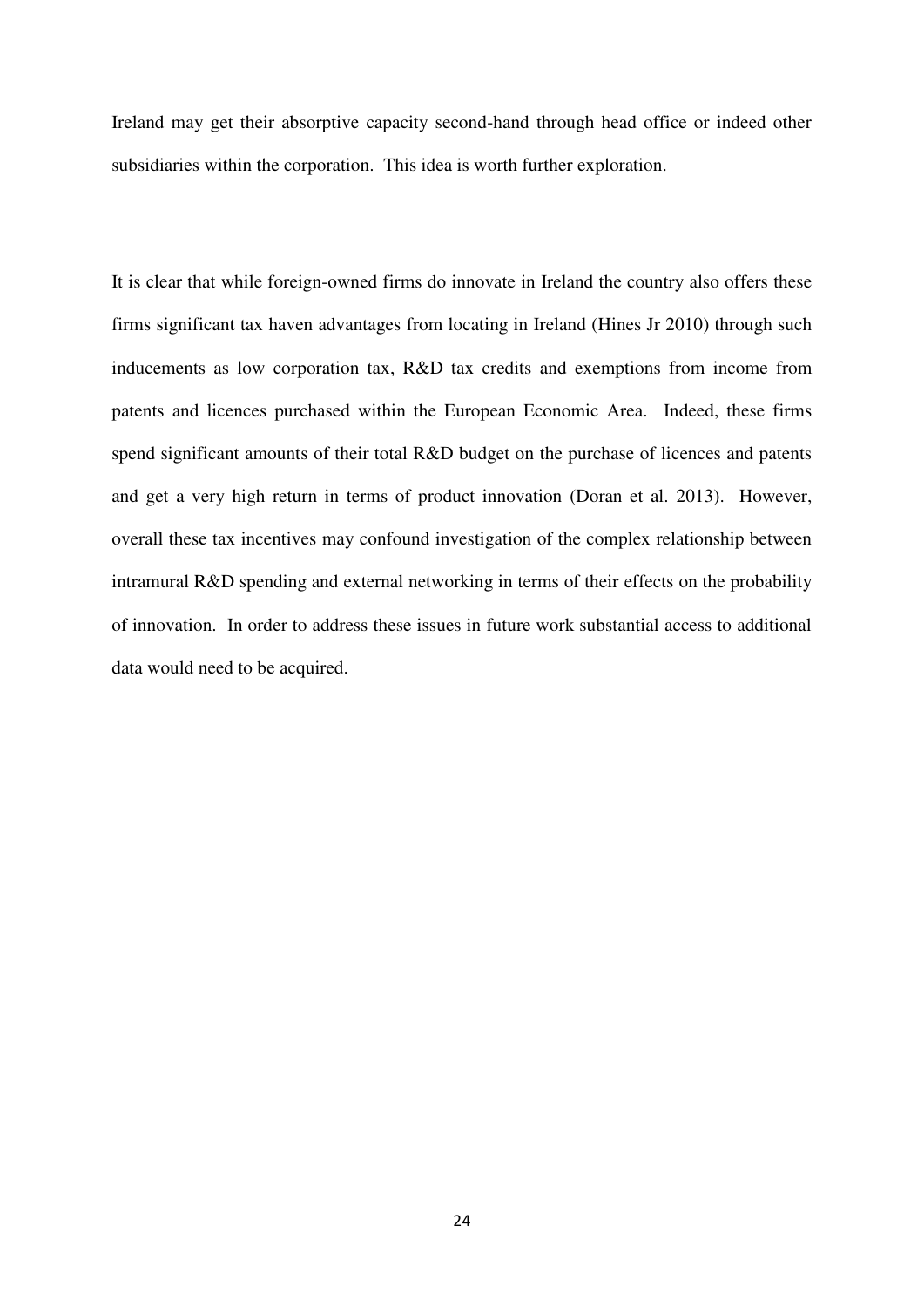Ireland may get their absorptive capacity second-hand through head office or indeed other subsidiaries within the corporation. This idea is worth further exploration.

It is clear that while foreign-owned firms do innovate in Ireland the country also offers these firms significant tax haven advantages from locating in Ireland [\(Hines Jr 2010\)](#page-27-9) through such inducements as low corporation tax, R&D tax credits and exemptions from income from patents and licences purchased within the European Economic Area. Indeed, these firms spend significant amounts of their total R&D budget on the purchase of licences and patents and get a very high return in terms of product innovation [\(Doran et al. 2013\)](#page-26-0). However, overall these tax incentives may confound investigation of the complex relationship between intramural R&D spending and external networking in terms of their effects on the probability of innovation. In order to address these issues in future work substantial access to additional data would need to be acquired.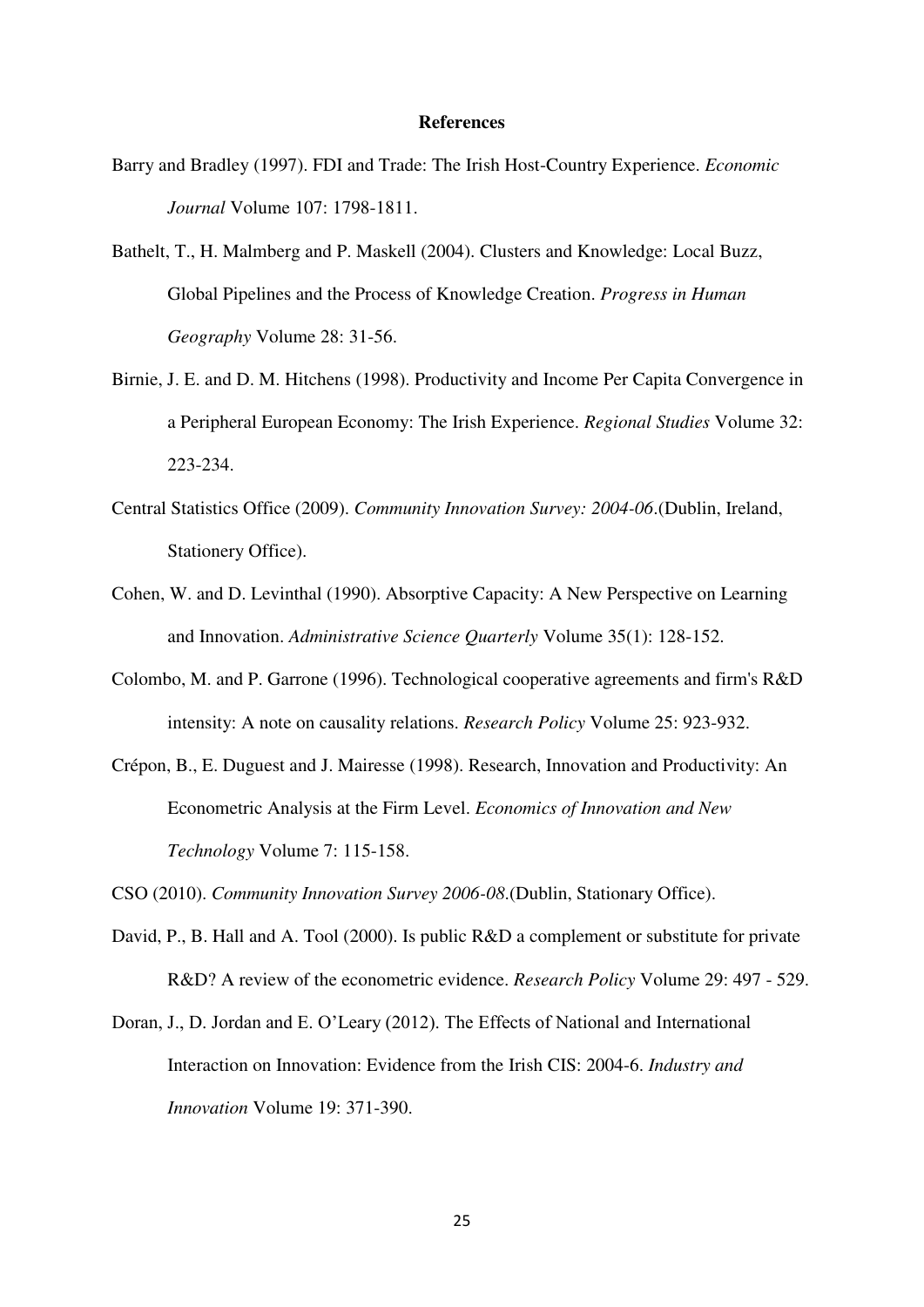#### **References**

- <span id="page-25-8"></span>Barry and Bradley (1997). FDI and Trade: The Irish Host-Country Experience. *Economic Journal* Volume 107: 1798-1811.
- <span id="page-25-4"></span>Bathelt, T., H. Malmberg and P. Maskell (2004). Clusters and Knowledge: Local Buzz, Global Pipelines and the Process of Knowledge Creation. *Progress in Human Geography* Volume 28: 31-56.
- <span id="page-25-9"></span>Birnie, J. E. and D. M. Hitchens (1998). Productivity and Income Per Capita Convergence in a Peripheral European Economy: The Irish Experience. *Regional Studies* Volume 32: 223-234.
- <span id="page-25-3"></span>Central Statistics Office (2009). *Community Innovation Survey: 2004-06*.(Dublin, Ireland, Stationery Office).
- <span id="page-25-0"></span>Cohen, W. and D. Levinthal (1990). Absorptive Capacity: A New Perspective on Learning and Innovation. *Administrative Science Quarterly* Volume 35(1): 128-152.
- <span id="page-25-5"></span>Colombo, M. and P. Garrone (1996). Technological cooperative agreements and firm's R&D intensity: A note on causality relations. *Research Policy* Volume 25: 923-932.
- <span id="page-25-1"></span>Crépon, B., E. Duguest and J. Mairesse (1998). Research, Innovation and Productivity: An Econometric Analysis at the Firm Level. *Economics of Innovation and New Technology* Volume 7: 115-158.
- <span id="page-25-2"></span>CSO (2010). *Community Innovation Survey 2006-08*.(Dublin, Stationary Office).
- <span id="page-25-6"></span>David, P., B. Hall and A. Tool (2000). Is public R&D a complement or substitute for private R&D? A review of the econometric evidence. *Research Policy* Volume 29: 497 - 529.
- <span id="page-25-7"></span>Doran, J., D. Jordan and E. O'Leary (2012). The Effects of National and International Interaction on Innovation: Evidence from the Irish CIS: 2004-6. *Industry and Innovation* Volume 19: 371-390.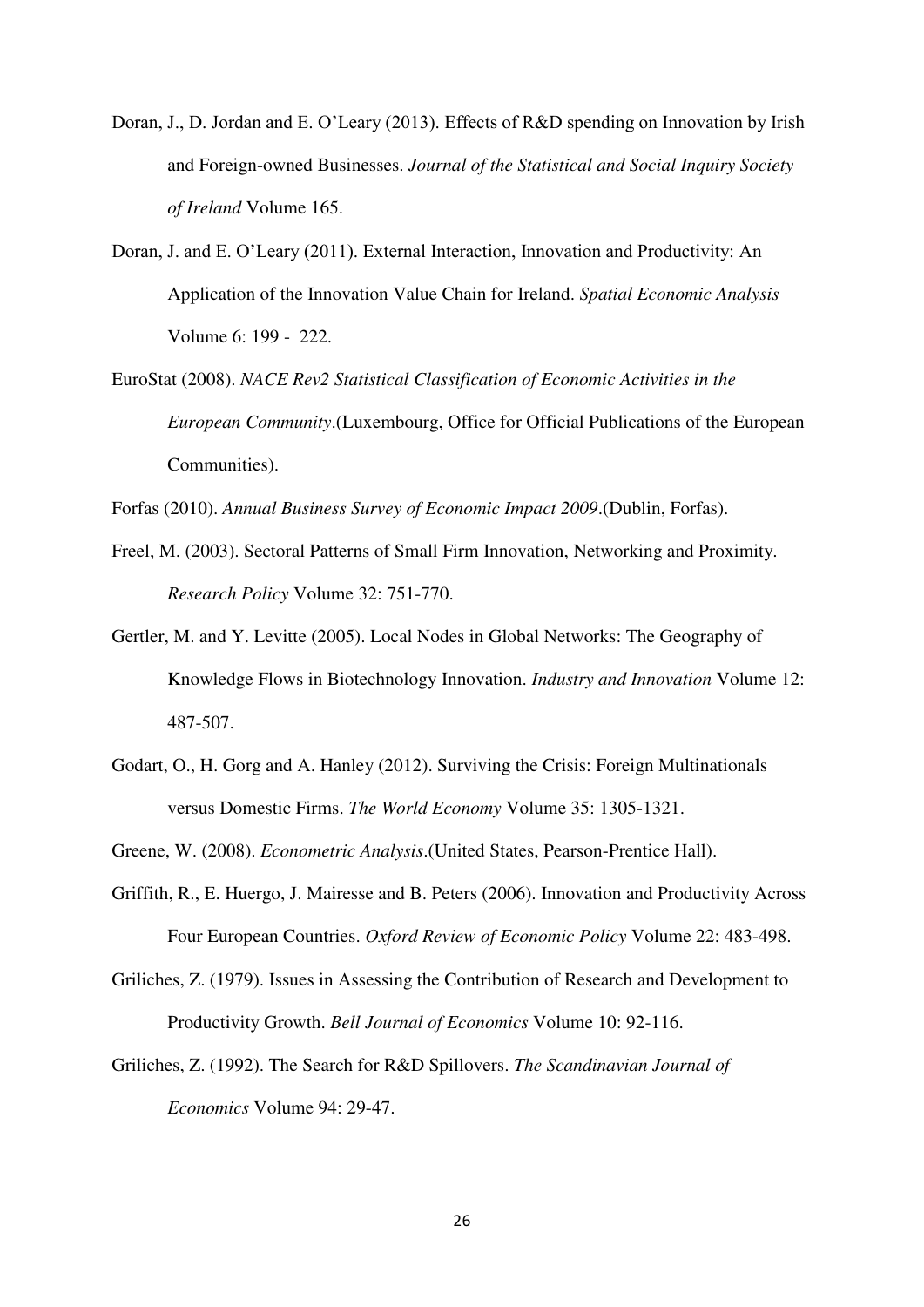- <span id="page-26-0"></span>Doran, J., D. Jordan and E. O'Leary (2013). Effects of R&D spending on Innovation by Irish and Foreign-owned Businesses. *Journal of the Statistical and Social Inquiry Society of Ireland* Volume 165.
- <span id="page-26-1"></span>Doran, J. and E. O'Leary (2011). External Interaction, Innovation and Productivity: An Application of the Innovation Value Chain for Ireland. *Spatial Economic Analysis* Volume 6: 199 - 222.
- <span id="page-26-10"></span>EuroStat (2008). *NACE Rev2 Statistical Classification of Economic Activities in the European Community*.(Luxembourg, Office for Official Publications of the European Communities).

<span id="page-26-5"></span>Forfas (2010). *Annual Business Survey of Economic Impact 2009*.(Dublin, Forfas).

- <span id="page-26-3"></span>Freel, M. (2003). Sectoral Patterns of Small Firm Innovation, Networking and Proximity. *Research Policy* Volume 32: 751-770.
- <span id="page-26-4"></span>Gertler, M. and Y. Levitte (2005). Local Nodes in Global Networks: The Geography of Knowledge Flows in Biotechnology Innovation. *Industry and Innovation* Volume 12: 487-507.
- <span id="page-26-6"></span>Godart, O., H. Gorg and A. Hanley (2012). Surviving the Crisis: Foreign Multinationals versus Domestic Firms. *The World Economy* Volume 35: 1305-1321.

<span id="page-26-9"></span>Greene, W. (2008). *Econometric Analysis*.(United States, Pearson-Prentice Hall).

- <span id="page-26-2"></span>Griffith, R., E. Huergo, J. Mairesse and B. Peters (2006). Innovation and Productivity Across Four European Countries. *Oxford Review of Economic Policy* Volume 22: 483-498.
- <span id="page-26-7"></span>Griliches, Z. (1979). Issues in Assessing the Contribution of Research and Development to Productivity Growth. *Bell Journal of Economics* Volume 10: 92-116.
- <span id="page-26-8"></span>Griliches, Z. (1992). The Search for R&D Spillovers. *The Scandinavian Journal of Economics* Volume 94: 29-47.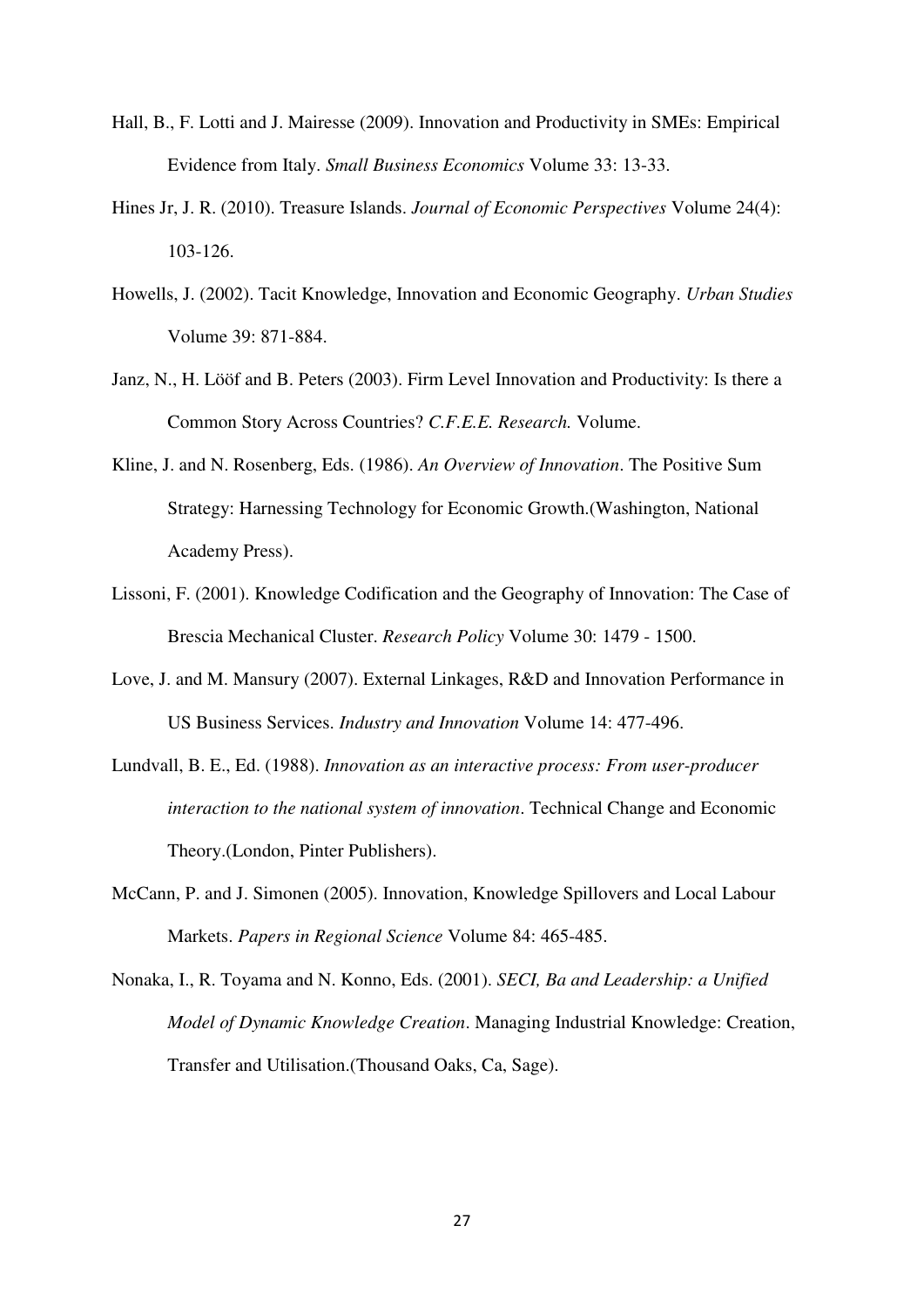- <span id="page-27-0"></span>Hall, B., F. Lotti and J. Mairesse (2009). Innovation and Productivity in SMEs: Empirical Evidence from Italy. *Small Business Economics* Volume 33: 13-33.
- <span id="page-27-9"></span>Hines Jr, J. R. (2010). Treasure Islands. *Journal of Economic Perspectives* Volume 24(4): 103-126.
- <span id="page-27-1"></span>Howells, J. (2002). Tacit Knowledge, Innovation and Economic Geography. *Urban Studies* Volume 39: 871-884.
- <span id="page-27-6"></span>Janz, N., H. Lööf and B. Peters (2003). Firm Level Innovation and Productivity: Is there a Common Story Across Countries? *C.F.E.E. Research.* Volume.
- <span id="page-27-4"></span>Kline, J. and N. Rosenberg, Eds. (1986). *An Overview of Innovation*. The Positive Sum Strategy: Harnessing Technology for Economic Growth.(Washington, National Academy Press).
- <span id="page-27-2"></span>Lissoni, F. (2001). Knowledge Codification and the Geography of Innovation: The Case of Brescia Mechanical Cluster. *Research Policy* Volume 30: 1479 - 1500.
- <span id="page-27-7"></span>Love, J. and M. Mansury (2007). External Linkages, R&D and Innovation Performance in US Business Services. *Industry and Innovation* Volume 14: 477-496.
- <span id="page-27-3"></span>Lundvall, B. E., Ed. (1988). *Innovation as an interactive process: From user-producer interaction to the national system of innovation*. Technical Change and Economic Theory.(London, Pinter Publishers).
- <span id="page-27-8"></span>McCann, P. and J. Simonen (2005). Innovation, Knowledge Spillovers and Local Labour Markets. *Papers in Regional Science* Volume 84: 465-485.
- <span id="page-27-5"></span>Nonaka, I., R. Toyama and N. Konno, Eds. (2001). *SECI, Ba and Leadership: a Unified Model of Dynamic Knowledge Creation*. Managing Industrial Knowledge: Creation, Transfer and Utilisation.(Thousand Oaks, Ca, Sage).